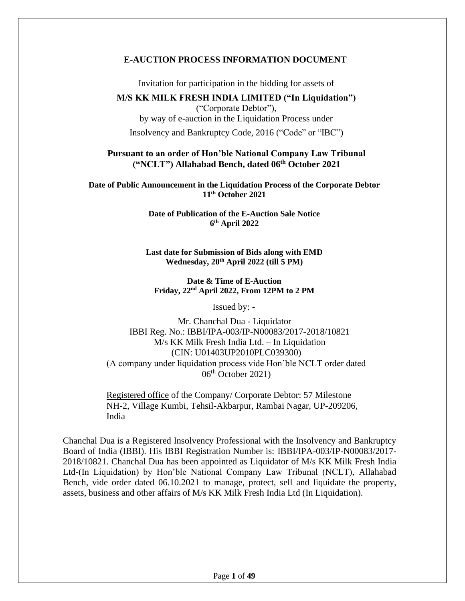#### **E-AUCTION PROCESS INFORMATION DOCUMENT**

Invitation for participation in the bidding for assets of

**M/S KK MILK FRESH INDIA LIMITED ("In Liquidation")** ("Corporate Debtor"), by way of e-auction in the Liquidation Process under Insolvency and Bankruptcy Code, 2016 ("Code" or "IBC")

### **Pursuant to an order of Hon'ble National Company Law Tribunal ("NCLT") Allahabad Bench, dated 06 th October 2021**

**Date of Public Announcement in the Liquidation Process of the Corporate Debtor 11th October 2021**

> **Date of Publication of the E-Auction Sale Notice 6 th April 2022**

**Last date for Submission of Bids along with EMD Wednesday, 20th April 2022 (till 5 PM)**

**Date & Time of E-Auction Friday, 22nd April 2022, From 12PM to 2 PM**

Issued by: -

Mr. Chanchal Dua - Liquidator IBBI Reg. No.: IBBI/IPA-003/IP-N00083/2017-2018/10821 M/s KK Milk Fresh India Ltd. – In Liquidation (CIN: U01403UP2010PLC039300) (A company under liquidation process vide Hon'ble NCLT order dated  $06<sup>th</sup>$  October 2021)

Registered office of the Company/ Corporate Debtor: 57 Milestone NH-2, Village Kumbi, Tehsil-Akbarpur, Rambai Nagar, UP-209206, India

Chanchal Dua is a Registered Insolvency Professional with the Insolvency and Bankruptcy Board of India (IBBI). His IBBI Registration Number is: IBBI/IPA-003/IP-N00083/2017- 2018/10821. Chanchal Dua has been appointed as Liquidator of M/s KK Milk Fresh India Ltd-(In Liquidation) by Hon'ble National Company Law Tribunal (NCLT), Allahabad Bench, vide order dated 06.10.2021 to manage, protect, sell and liquidate the property, assets, business and other affairs of M/s KK Milk Fresh India Ltd (In Liquidation).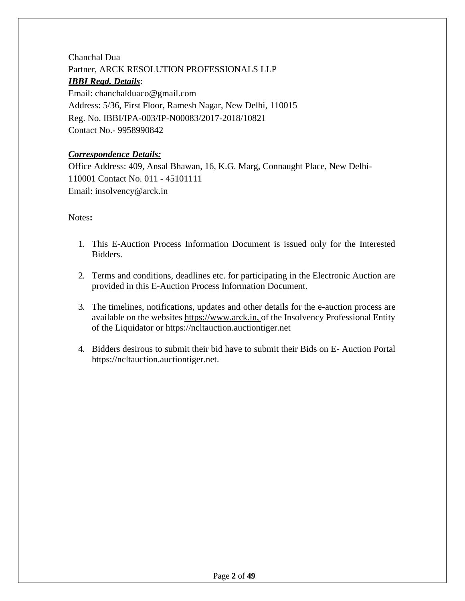Chanchal Dua Partner, ARCK RESOLUTION PROFESSIONALS LLP *IBBI Regd. Details*: Email: chanchalduaco@gmail.com Address: 5/36, First Floor, Ramesh Nagar, New Delhi, 110015 Reg. No. IBBI/IPA-003/IP-N00083/2017-2018/10821

Contact No.- 9958990842

## *Correspondence Details:*

Office Address: 409, Ansal Bhawan, 16, K.G. Marg, Connaught Place, New Delhi-110001 Contact No. 011 - 45101111 Em[ail: insolvency@arck.in](mailto:insolvency@arck.in)

## Notes**:**

- 1. This E-Auction Process Information Document is issued only for the Interested Bidders.
- 2. Terms and conditions, deadlines etc. for participating in the Electronic Auction are provided in this E-Auction Process Information Document.
- 3. The timelines, notifications, updates and other details for the e-auction process are available on the websites https://www.arck.in, of the Insolvency Professional Entity of the Liquidator or [https://ncltauction.auctiontiger.net](https://ncltauction.auctiontiger.net/)
- 4. Bidders desirous to submit their bid have to submit their Bids on E- Auction Porta[l](https://ncltauction.auctiontiger.net/) [https://ncltauction.auctiontiger.net.](https://ncltauction.auctiontiger.net/)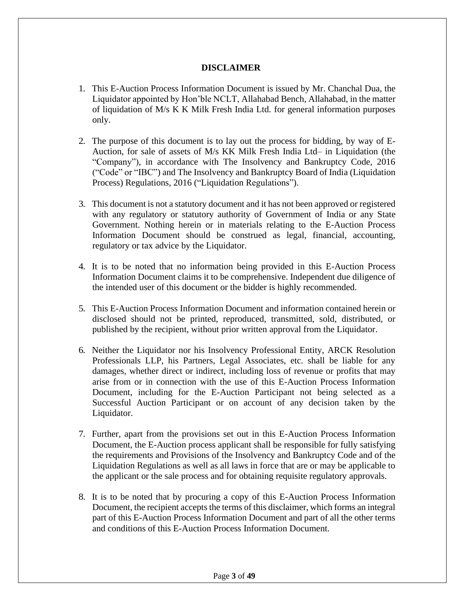## **DISCLAIMER**

- 1. This E-Auction Process Information Document is issued by Mr. Chanchal Dua, the Liquidator appointed by Hon'ble NCLT, Allahabad Bench, Allahabad, in the matter of liquidation of M/s K K Milk Fresh India Ltd. for general information purposes only.
- 2. The purpose of this document is to lay out the process for bidding, by way of E-Auction, for sale of assets of M/s KK Milk Fresh India Ltd– in Liquidation (the "Company"), in accordance with The Insolvency and Bankruptcy Code, 2016 ("Code" or "IBC") and The Insolvency and Bankruptcy Board of India (Liquidation Process) Regulations, 2016 ("Liquidation Regulations").
- 3. This document is not a statutory document and it has not been approved or registered with any regulatory or statutory authority of Government of India or any State Government. Nothing herein or in materials relating to the E-Auction Process Information Document should be construed as legal, financial, accounting, regulatory or tax advice by the Liquidator.
- 4. It is to be noted that no information being provided in this E-Auction Process Information Document claims it to be comprehensive. Independent due diligence of the intended user of this document or the bidder is highly recommended.
- 5. This E-Auction Process Information Document and information contained herein or disclosed should not be printed, reproduced, transmitted, sold, distributed, or published by the recipient, without prior written approval from the Liquidator.
- 6. Neither the Liquidator nor his Insolvency Professional Entity, ARCK Resolution Professionals LLP, his Partners, Legal Associates, etc. shall be liable for any damages, whether direct or indirect, including loss of revenue or profits that may arise from or in connection with the use of this E-Auction Process Information Document, including for the E-Auction Participant not being selected as a Successful Auction Participant or on account of any decision taken by the Liquidator.
- 7. Further, apart from the provisions set out in this E-Auction Process Information Document, the E-Auction process applicant shall be responsible for fully satisfying the requirements and Provisions of the Insolvency and Bankruptcy Code and of the Liquidation Regulations as well as all laws in force that are or may be applicable to the applicant or the sale process and for obtaining requisite regulatory approvals.
- 8. It is to be noted that by procuring a copy of this E-Auction Process Information Document, the recipient accepts the terms of this disclaimer, which forms an integral part of this E-Auction Process Information Document and part of all the other terms and conditions of this E-Auction Process Information Document.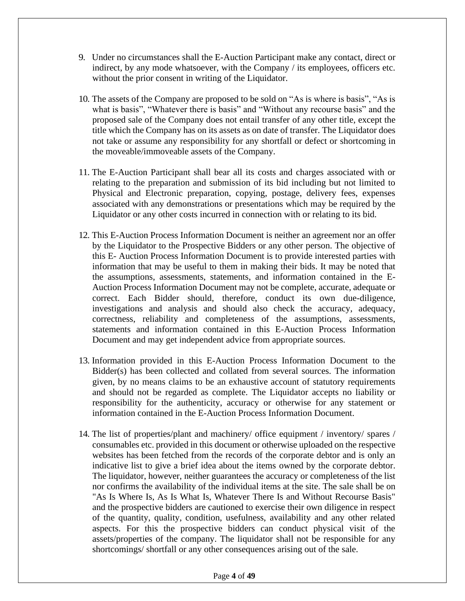- 9. Under no circumstances shall the E-Auction Participant make any contact, direct or indirect, by any mode whatsoever, with the Company / its employees, officers etc. without the prior consent in writing of the Liquidator.
- 10. The assets of the Company are proposed to be sold on "As is where is basis", "As is what is basis", "Whatever there is basis" and "Without any recourse basis" and the proposed sale of the Company does not entail transfer of any other title, except the title which the Company has on its assets as on date of transfer. The Liquidator does not take or assume any responsibility for any shortfall or defect or shortcoming in the moveable/immoveable assets of the Company.
- 11. The E-Auction Participant shall bear all its costs and charges associated with or relating to the preparation and submission of its bid including but not limited to Physical and Electronic preparation, copying, postage, delivery fees, expenses associated with any demonstrations or presentations which may be required by the Liquidator or any other costs incurred in connection with or relating to its bid.
- 12. This E-Auction Process Information Document is neither an agreement nor an offer by the Liquidator to the Prospective Bidders or any other person. The objective of this E- Auction Process Information Document is to provide interested parties with information that may be useful to them in making their bids. It may be noted that the assumptions, assessments, statements, and information contained in the E-Auction Process Information Document may not be complete, accurate, adequate or correct. Each Bidder should, therefore, conduct its own due-diligence, investigations and analysis and should also check the accuracy, adequacy, correctness, reliability and completeness of the assumptions, assessments, statements and information contained in this E-Auction Process Information Document and may get independent advice from appropriate sources.
- 13. Information provided in this E-Auction Process Information Document to the Bidder(s) has been collected and collated from several sources. The information given, by no means claims to be an exhaustive account of statutory requirements and should not be regarded as complete. The Liquidator accepts no liability or responsibility for the authenticity, accuracy or otherwise for any statement or information contained in the E-Auction Process Information Document.
- 14. The list of properties/plant and machinery/ office equipment / inventory/ spares / consumables etc. provided in this document or otherwise uploaded on the respective websites has been fetched from the records of the corporate debtor and is only an indicative list to give a brief idea about the items owned by the corporate debtor. The liquidator, however, neither guarantees the accuracy or completeness of the list nor confirms the availability of the individual items at the site. The sale shall be on "As Is Where Is, As Is What Is, Whatever There Is and Without Recourse Basis" and the prospective bidders are cautioned to exercise their own diligence in respect of the quantity, quality, condition, usefulness, availability and any other related aspects. For this the prospective bidders can conduct physical visit of the assets/properties of the company. The liquidator shall not be responsible for any shortcomings/ shortfall or any other consequences arising out of the sale.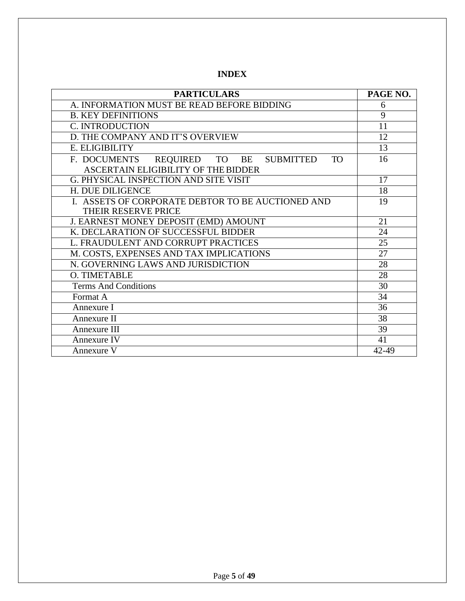# **INDEX**

| <b>PARTICULARS</b>                                                                           | PAGE NO.        |
|----------------------------------------------------------------------------------------------|-----------------|
| A. INFORMATION MUST BE READ BEFORE BIDDING                                                   | 6               |
| <b>B. KEY DEFINITIONS</b>                                                                    | 9               |
| C. INTRODUCTION                                                                              | 11              |
| D. THE COMPANY AND IT'S OVERVIEW                                                             | 12              |
| E. ELIGIBILITY                                                                               | 13              |
| REQUIRED TO BE SUBMITTED<br>F. DOCUMENTS<br><b>TO</b><br>ASCERTAIN ELIGIBILITY OF THE BIDDER | 16              |
| G. PHYSICAL INSPECTION AND SITE VISIT                                                        | 17              |
| <b>H. DUE DILIGENCE</b>                                                                      | 18              |
| I. ASSETS OF CORPORATE DEBTOR TO BE AUCTIONED AND                                            | 19              |
| THEIR RESERVE PRICE                                                                          |                 |
| J. EARNEST MONEY DEPOSIT (EMD) AMOUNT                                                        | 21              |
| K. DECLARATION OF SUCCESSFUL BIDDER                                                          | 24              |
| L. FRAUDULENT AND CORRUPT PRACTICES                                                          | 25              |
| M. COSTS, EXPENSES AND TAX IMPLICATIONS                                                      | $\overline{27}$ |
| N. GOVERNING LAWS AND JURISDICTION                                                           | 28              |
| <b>O. TIMETABLE</b>                                                                          | 28              |
| <b>Terms And Conditions</b>                                                                  | 30              |
| Format A                                                                                     | 34              |
| Annexure I                                                                                   | 36              |
| Annexure II                                                                                  | 38              |
| Annexure III                                                                                 | 39              |
| <b>Annexure IV</b>                                                                           | 41              |
| Annexure V                                                                                   | 42-49           |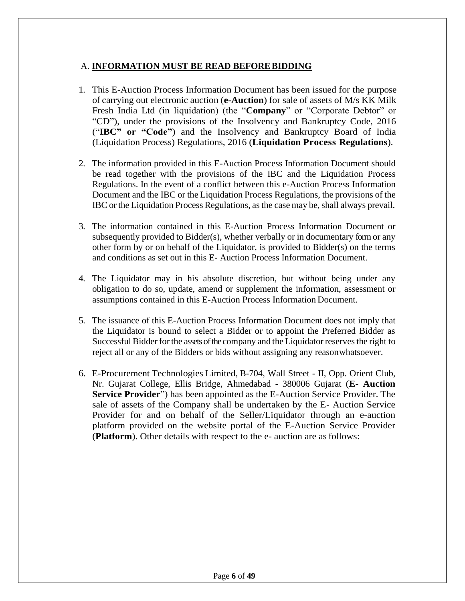## A. **INFORMATION MUST BE READ BEFOREBIDDING**

- 1. This E-Auction Process Information Document has been issued for the purpose of carrying out electronic auction (**e-Auction**) for sale of assets of M/s KK Milk Fresh India Ltd (in liquidation) (the "**Company**" or "Corporate Debtor" or "CD"), under the provisions of the Insolvency and Bankruptcy Code, 2016 ("**IBC" or "Code"**) and the Insolvency and Bankruptcy Board of India (Liquidation Process) Regulations, 2016 (**Liquidation Process Regulations**).
- 2. The information provided in this E-Auction Process Information Document should be read together with the provisions of the IBC and the Liquidation Process Regulations. In the event of a conflict between this e-Auction Process Information Document and the IBC or the Liquidation Process Regulations, the provisions of the IBC or the Liquidation Process Regulations, as the case may be, shall always prevail.
- 3. The information contained in this E-Auction Process Information Document or subsequently provided to Bidder(s), whether verbally or in documentary form or any other form by or on behalf of the Liquidator, is provided to Bidder(s) on the terms and conditions as set out in this E- Auction Process Information Document.
- 4. The Liquidator may in his absolute discretion, but without being under any obligation to do so, update, amend or supplement the information, assessment or assumptions contained in this E-Auction Process Information Document.
- 5. The issuance of this E-Auction Process Information Document does not imply that the Liquidator is bound to select a Bidder or to appoint the Preferred Bidder as Successful Bidder forthe assets of the company and the Liquidator reservesthe right to reject all or any of the Bidders or bids without assigning any reasonwhatsoever.
- 6. E-Procurement Technologies Limited, B-704, Wall Street II, Opp. Orient Club, Nr. Gujarat College, Ellis Bridge, Ahmedabad - 380006 Gujarat (**E- Auction Service Provider**") has been appointed as the E-Auction Service Provider. The sale of assets of the Company shall be undertaken by the E- Auction Service Provider for and on behalf of the Seller/Liquidator through an e-auction platform provided on the website portal of the E-Auction Service Provider (**Platform**). Other details with respect to the e- auction are asfollows: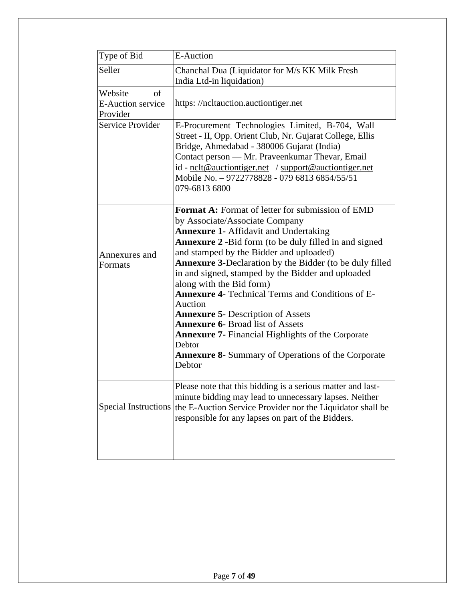| Type of Bid                                           | <b>E-Auction</b>                                                                                                                                                                                                                                                                                                                                                                                                                                                                                                                                                     |
|-------------------------------------------------------|----------------------------------------------------------------------------------------------------------------------------------------------------------------------------------------------------------------------------------------------------------------------------------------------------------------------------------------------------------------------------------------------------------------------------------------------------------------------------------------------------------------------------------------------------------------------|
| Seller                                                | Chanchal Dua (Liquidator for M/s KK Milk Fresh<br>India Ltd-in liquidation)                                                                                                                                                                                                                                                                                                                                                                                                                                                                                          |
| Website<br>of<br><b>E-Auction service</b><br>Provider | https://ncltauction.auctiontiger.net                                                                                                                                                                                                                                                                                                                                                                                                                                                                                                                                 |
| Service Provider                                      | E-Procurement Technologies Limited, B-704, Wall<br>Street - II, Opp. Orient Club, Nr. Gujarat College, Ellis<br>Bridge, Ahmedabad - 380006 Gujarat (India)<br>Contact person — Mr. Praveenkumar Thevar, Email<br>id - nclt@auctiontiger.net / support@auctiontiger.net<br>Mobile No. - 9722778828 - 079 6813 6854/55/51<br>079-6813 6800                                                                                                                                                                                                                             |
| Annexures and<br>Formats                              | <b>Format A:</b> Format of letter for submission of EMD<br>by Associate/Associate Company<br><b>Annexure 1- Affidavit and Undertaking</b><br><b>Annexure 2 -Bid form (to be duly filled in and signed</b><br>and stamped by the Bidder and uploaded)<br><b>Annexure 3-Declaration by the Bidder (to be duly filled</b><br>in and signed, stamped by the Bidder and uploaded<br>along with the Bid form)<br><b>Annexure 4- Technical Terms and Conditions of E-</b><br>Auction<br><b>Annexure 5-</b> Description of Assets<br><b>Annexure 6- Broad list of Assets</b> |
|                                                       | <b>Annexure 7-</b> Financial Highlights of the Corporate<br>Debtor<br><b>Annexure 8-</b> Summary of Operations of the Corporate<br>Debtor                                                                                                                                                                                                                                                                                                                                                                                                                            |
| Special Instructions                                  | Please note that this bidding is a serious matter and last-<br>minute bidding may lead to unnecessary lapses. Neither<br>the E-Auction Service Provider nor the Liquidator shall be<br>responsible for any lapses on part of the Bidders.                                                                                                                                                                                                                                                                                                                            |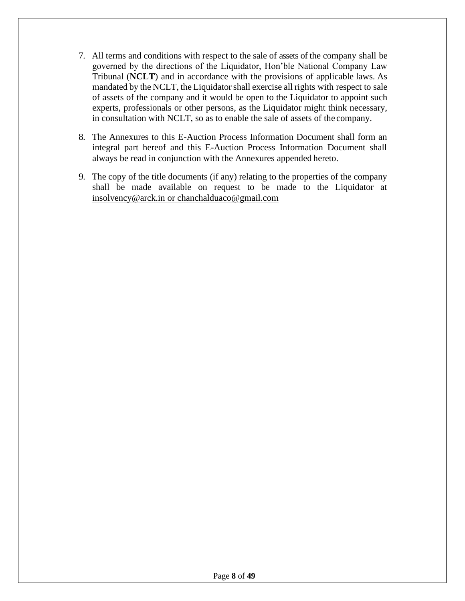- 7. All terms and conditions with respect to the sale of assets of the company shall be governed by the directions of the Liquidator, Hon'ble National Company Law Tribunal (**NCLT**) and in accordance with the provisions of applicable laws. As mandated by the NCLT, the Liquidator shall exercise all rights with respect to sale of assets of the company and it would be open to the Liquidator to appoint such experts, professionals or other persons, as the Liquidator might think necessary, in consultation with NCLT, so as to enable the sale of assets of the company.
- 8. The Annexures to this E-Auction Process Information Document shall form an integral part hereof and this E-Auction Process Information Document shall always be read in conjunction with the Annexures appended hereto.
- 9. The copy of the title documents (if any) relating to the properties of the company shall be made available on request to be made to the Liquidator at [insolvency@arck.in](mailto:insolvency@arck.in) or chanchalduaco@gmail.com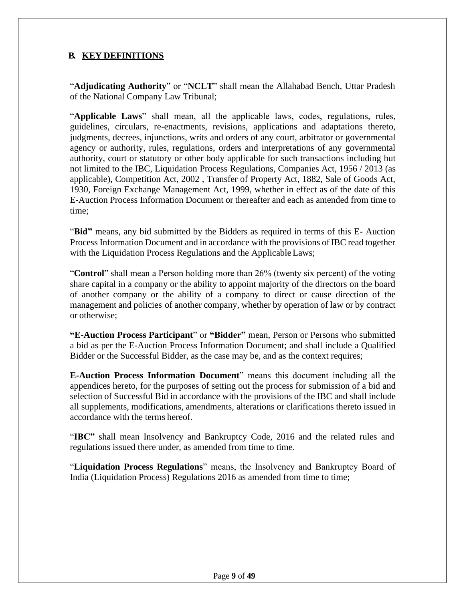## **B. KEY DEFINITIONS**

"**Adjudicating Authority**" or "**NCLT**" shall mean the Allahabad Bench, Uttar Pradesh of the National Company Law Tribunal;

"**Applicable Laws**" shall mean, all the applicable laws, codes, regulations, rules, guidelines, circulars, re-enactments, revisions, applications and adaptations thereto, judgments, decrees, injunctions, writs and orders of any court, arbitrator or governmental agency or authority, rules, regulations, orders and interpretations of any governmental authority, court or statutory or other body applicable for such transactions including but not limited to the IBC, Liquidation Process Regulations, Companies Act, 1956 / 2013 (as applicable), Competition Act, 2002 , Transfer of Property Act, 1882, Sale of Goods Act, 1930, Foreign Exchange Management Act, 1999, whether in effect as of the date of this E-Auction Process Information Document or thereafter and each as amended from time to time;

"**Bid"** means, any bid submitted by the Bidders as required in terms of this E- Auction Process Information Document and in accordance with the provisions of IBC read together with the Liquidation Process Regulations and the Applicable Laws;

"**Control**" shall mean a Person holding more than 26% (twenty six percent) of the voting share capital in a company or the ability to appoint majority of the directors on the board of another company or the ability of a company to direct or cause direction of the management and policies of another company, whether by operation of law or by contract or otherwise;

**"E**-**Auction Process Participant**" or **"Bidder"** mean, Person or Persons who submitted a bid as per the E-Auction Process Information Document; and shall include a Qualified Bidder or the Successful Bidder, as the case may be, and as the context requires;

**E-Auction Process Information Document**" means this document including all the appendices hereto, for the purposes of setting out the process for submission of a bid and selection of Successful Bid in accordance with the provisions of the IBC and shall include all supplements, modifications, amendments, alterations or clarifications thereto issued in accordance with the terms hereof.

"**IBC"** shall mean Insolvency and Bankruptcy Code, 2016 and the related rules and regulations issued there under, as amended from time to time.

"**Liquidation Process Regulations**" means, the Insolvency and Bankruptcy Board of India (Liquidation Process) Regulations 2016 as amended from time to time;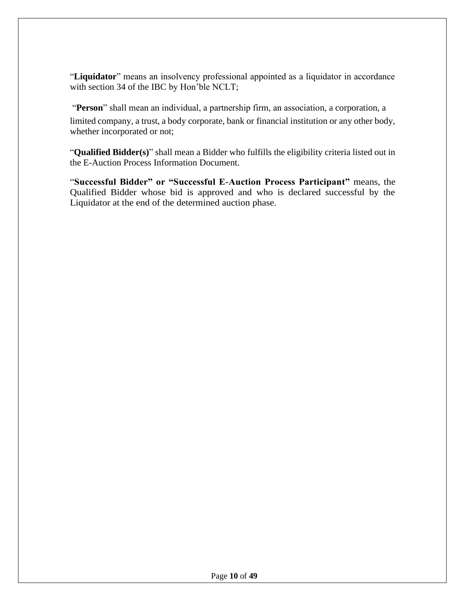"**Liquidator**" means an insolvency professional appointed as a liquidator in accordance with section 34 of the IBC by Hon'ble NCLT;

"**Person**" shall mean an individual, a partnership firm, an association, a corporation, a limited company, a trust, a body corporate, bank or financial institution or any other body, whether incorporated or not;

"**Qualified Bidder(s)**" shall mean a Bidder who fulfills the eligibility criteria listed out in the E-Auction Process Information Document.

"**Successful Bidder" or "Successful E-Auction Process Participant"** means, the Qualified Bidder whose bid is approved and who is declared successful by the Liquidator at the end of the determined auction phase.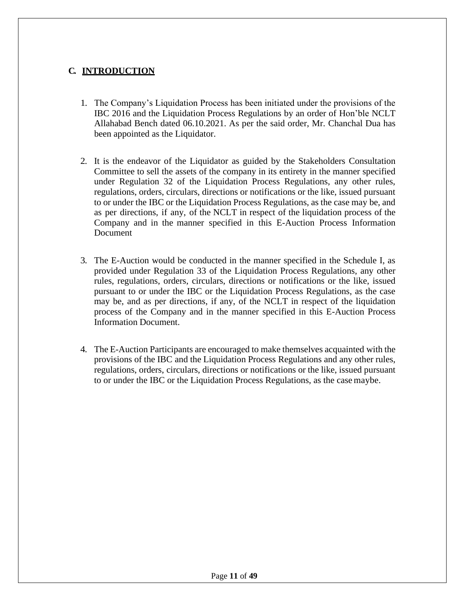## **C. INTRODUCTION**

- 1. The Company's Liquidation Process has been initiated under the provisions of the IBC 2016 and the Liquidation Process Regulations by an order of Hon'ble NCLT Allahabad Bench dated 06.10.2021. As per the said order, Mr. Chanchal Dua has been appointed as the Liquidator.
- 2. It is the endeavor of the Liquidator as guided by the Stakeholders Consultation Committee to sell the assets of the company in its entirety in the manner specified under Regulation 32 of the Liquidation Process Regulations, any other rules, regulations, orders, circulars, directions or notifications or the like, issued pursuant to or under the IBC or the Liquidation Process Regulations, as the case may be, and as per directions, if any, of the NCLT in respect of the liquidation process of the Company and in the manner specified in this E-Auction Process Information Document
- 3. The E-Auction would be conducted in the manner specified in the Schedule I, as provided under Regulation 33 of the Liquidation Process Regulations, any other rules, regulations, orders, circulars, directions or notifications or the like, issued pursuant to or under the IBC or the Liquidation Process Regulations, as the case may be, and as per directions, if any, of the NCLT in respect of the liquidation process of the Company and in the manner specified in this E-Auction Process Information Document.
- 4. The E-Auction Participants are encouraged to make themselves acquainted with the provisions of the IBC and the Liquidation Process Regulations and any other rules, regulations, orders, circulars, directions or notifications or the like, issued pursuant to or under the IBC or the Liquidation Process Regulations, as the case maybe.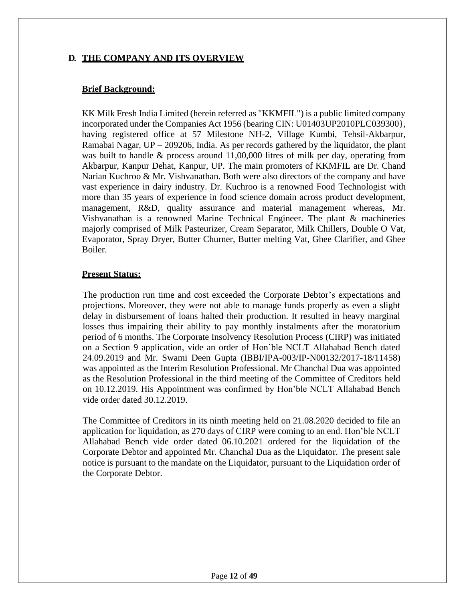## **D. THE COMPANY AND ITS OVERVIEW**

## **Brief Background:**

KK Milk Fresh India Limited (herein referred as "KKMFIL") is a public limited company incorporated under the Companies Act 1956 (bearing CIN: U01403UP2010PLC039300}, having registered office at 57 Milestone NH-2, Village Kumbi, Tehsil-Akbarpur, Ramabai Nagar, UP – 209206, India. As per records gathered by the liquidator, the plant was built to handle & process around 11,00,000 litres of milk per day, operating from Akbarpur, Kanpur Dehat, Kanpur, UP. The main promoters of KKMFIL are Dr. Chand Narian Kuchroo & Mr. Vishvanathan. Both were also directors of the company and have vast experience in dairy industry. Dr. Kuchroo is a renowned Food Technologist with more than 35 years of experience in food science domain across product development, management, R&D, quality assurance and material management whereas, Mr. Vishvanathan is a renowned Marine Technical Engineer. The plant & machineries majorly comprised of Milk Pasteurizer, Cream Separator, Milk Chillers, Double O Vat, Evaporator, Spray Dryer, Butter Churner, Butter melting Vat, Ghee Clarifier, and Ghee Boiler.

### **Present Status:**

The production run time and cost exceeded the Corporate Debtor's expectations and projections. Moreover, they were not able to manage funds properly as even a slight delay in disbursement of loans halted their production. It resulted in heavy marginal losses thus impairing their ability to pay monthly instalments after the moratorium period of 6 months. The Corporate Insolvency Resolution Process (CIRP) was initiated on a Section 9 application, vide an order of Hon'ble NCLT Allahabad Bench dated 24.09.2019 and Mr. Swami Deen Gupta (IBBI/IPA-003/IP-N00132/2017-18/11458) was appointed as the Interim Resolution Professional. Mr Chanchal Dua was appointed as the Resolution Professional in the third meeting of the Committee of Creditors held on 10.12.2019. His Appointment was confirmed by Hon'ble NCLT Allahabad Bench vide order dated 30.12.2019.

The Committee of Creditors in its ninth meeting held on 21.08.2020 decided to file an application for liquidation, as 270 days of CIRP were coming to an end. Hon'ble NCLT Allahabad Bench vide order dated 06.10.2021 ordered for the liquidation of the Corporate Debtor and appointed Mr. Chanchal Dua as the Liquidator. The present sale notice is pursuant to the mandate on the Liquidator, pursuant to the Liquidation order of the Corporate Debtor.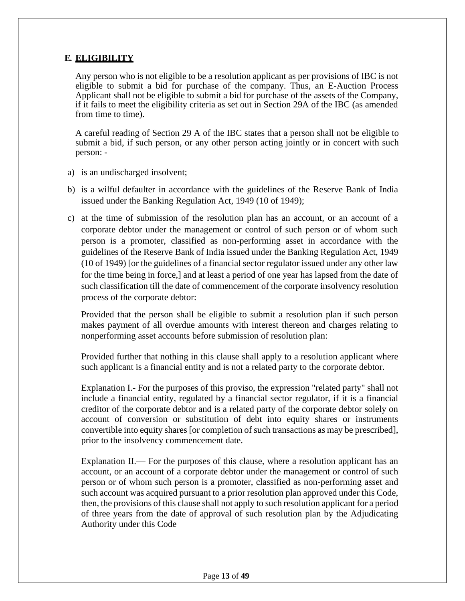## **E. ELIGIBILITY**

Any person who is not eligible to be a resolution applicant as per provisions of IBC is not eligible to submit a bid for purchase of the company. Thus, an E-Auction Process Applicant shall not be eligible to submit a bid for purchase of the assets of the Company, if it fails to meet the eligibility criteria as set out in Section 29A of the IBC (as amended from time to time).

A careful reading of Section 29 A of the IBC states that a person shall not be eligible to submit a bid, if such person, or any other person acting jointly or in concert with such person: -

- a) is an undischarged insolvent;
- b) is a wilful defaulter in accordance with the guidelines of the Reserve Bank of India issued under the Banking Regulation Act, 1949 (10 of 1949);
- c) at the time of submission of the resolution plan has an account, or an account of a corporate debtor under the management or control of such person or of whom such person is a promoter, classified as non-performing asset in accordance with the guidelines of the Reserve Bank of India issued under the Banking Regulation Act, 1949 (10 of 1949) [or the guidelines of a financial sector regulator issued under any other law for the time being in force,] and at least a period of one year has lapsed from the date of such classification till the date of commencement of the corporate insolvency resolution process of the corporate debtor:

Provided that the person shall be eligible to submit a resolution plan if such person makes payment of all overdue amounts with interest thereon and charges relating to nonperforming asset accounts before submission of resolution plan:

Provided further that nothing in this clause shall apply to a resolution applicant where such applicant is a financial entity and is not a related party to the corporate debtor.

Explanation I.- For the purposes of this proviso, the expression "related party" shall not include a financial entity, regulated by a financial sector regulator, if it is a financial creditor of the corporate debtor and is a related party of the corporate debtor solely on account of conversion or substitution of debt into equity shares or instruments convertible into equity shares [or completion of such transactions as may be prescribed], prior to the insolvency commencement date.

Explanation II.— For the purposes of this clause, where a resolution applicant has an account, or an account of a corporate debtor under the management or control of such person or of whom such person is a promoter, classified as non-performing asset and such account was acquired pursuant to a prior resolution plan approved under this Code, then, the provisions of this clause shall not apply to such resolution applicant for a period of three years from the date of approval of such resolution plan by the Adjudicating Authority under this Code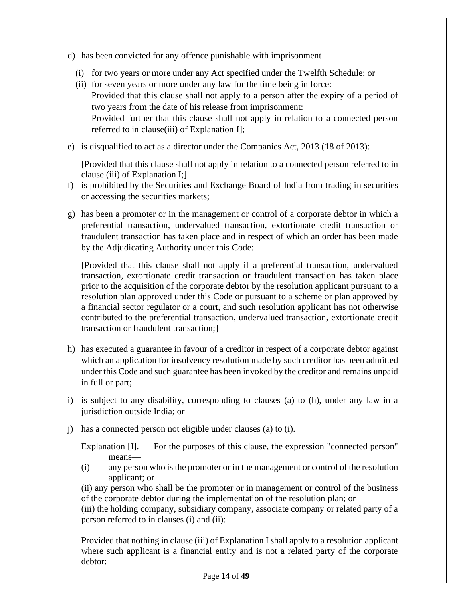- d) has been convicted for any offence punishable with imprisonment
	- (i) for two years or more under any Act specified under the Twelfth Schedule; or
	- (ii) for seven years or more under any law for the time being in force: Provided that this clause shall not apply to a person after the expiry of a period of two years from the date of his release from imprisonment: Provided further that this clause shall not apply in relation to a connected person referred to in clause(iii) of Explanation I];
- e) is disqualified to act as a director under the Companies Act, 2013 (18 of 2013):

[Provided that this clause shall not apply in relation to a connected person referred to in clause (iii) of Explanation I;]

- f) is prohibited by the Securities and Exchange Board of India from trading in securities or accessing the securities markets;
- g) has been a promoter or in the management or control of a corporate debtor in which a preferential transaction, undervalued transaction, extortionate credit transaction or fraudulent transaction has taken place and in respect of which an order has been made by the Adjudicating Authority under this Code:

[Provided that this clause shall not apply if a preferential transaction, undervalued transaction, extortionate credit transaction or fraudulent transaction has taken place prior to the acquisition of the corporate debtor by the resolution applicant pursuant to a resolution plan approved under this Code or pursuant to a scheme or plan approved by a financial sector regulator or a court, and such resolution applicant has not otherwise contributed to the preferential transaction, undervalued transaction, extortionate credit transaction or fraudulent transaction;]

- h) has executed a guarantee in favour of a creditor in respect of a corporate debtor against which an application for insolvency resolution made by such creditor has been admitted under this Code and such guarantee has been invoked by the creditor and remains unpaid in full or part;
- i) is subject to any disability, corresponding to clauses (a) to (h), under any law in a jurisdiction outside India; or
- j) has a connected person not eligible under clauses (a) to (i).

Explanation [I]. — For the purposes of this clause, the expression "connected person" means—

(i) any person who is the promoter or in the management or control of the resolution applicant; or

(ii) any person who shall be the promoter or in management or control of the business of the corporate debtor during the implementation of the resolution plan; or

(iii) the holding company, subsidiary company, associate company or related party of a person referred to in clauses (i) and (ii):

Provided that nothing in clause (iii) of Explanation I shall apply to a resolution applicant where such applicant is a financial entity and is not a related party of the corporate debtor: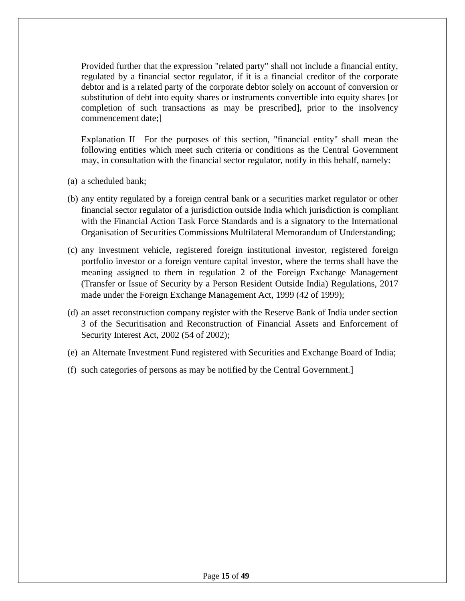Provided further that the expression "related party" shall not include a financial entity, regulated by a financial sector regulator, if it is a financial creditor of the corporate debtor and is a related party of the corporate debtor solely on account of conversion or substitution of debt into equity shares or instruments convertible into equity shares [or completion of such transactions as may be prescribed], prior to the insolvency commencement date;]

Explanation II—For the purposes of this section, "financial entity" shall mean the following entities which meet such criteria or conditions as the Central Government may, in consultation with the financial sector regulator, notify in this behalf, namely:

- (a) a scheduled bank;
- (b) any entity regulated by a foreign central bank or a securities market regulator or other financial sector regulator of a jurisdiction outside India which jurisdiction is compliant with the Financial Action Task Force Standards and is a signatory to the International Organisation of Securities Commissions Multilateral Memorandum of Understanding;
- (c) any investment vehicle, registered foreign institutional investor, registered foreign portfolio investor or a foreign venture capital investor, where the terms shall have the meaning assigned to them in regulation 2 of the Foreign Exchange Management (Transfer or Issue of Security by a Person Resident Outside India) Regulations, 2017 made under the Foreign Exchange Management Act, 1999 (42 of 1999);
- (d) an asset reconstruction company register with the Reserve Bank of India under section 3 of the Securitisation and Reconstruction of Financial Assets and Enforcement of Security Interest Act, 2002 (54 of 2002);
- (e) an Alternate Investment Fund registered with Securities and Exchange Board of India;
- (f) such categories of persons as may be notified by the Central Government.]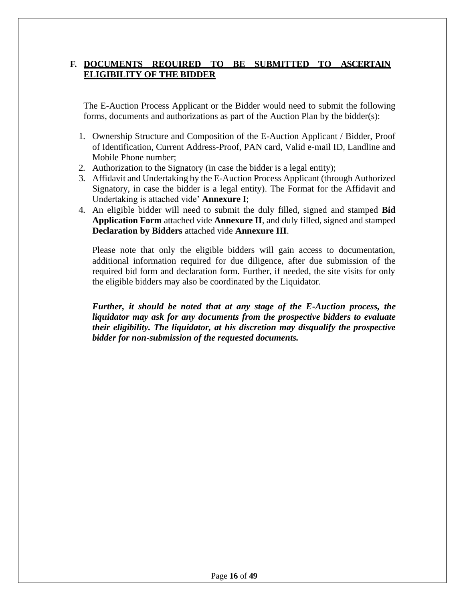## **F. DOCUMENTS REQUIRED TO BE SUBMITTED TO ASCERTAIN ELIGIBILITY OF THE BIDDER**

The E-Auction Process Applicant or the Bidder would need to submit the following forms, documents and authorizations as part of the Auction Plan by the bidder(s):

- 1. Ownership Structure and Composition of the E-Auction Applicant / Bidder, Proof of Identification, Current Address-Proof, PAN card, Valid e-mail ID, Landline and Mobile Phone number;
- 2. Authorization to the Signatory (in case the bidder is a legal entity);
- 3. Affidavit and Undertaking by the E-Auction Process Applicant (through Authorized Signatory, in case the bidder is a legal entity). The Format for the Affidavit and Undertaking is attached vide' **Annexure I**;
- 4. An eligible bidder will need to submit the duly filled, signed and stamped **Bid Application Form** attached vide **Annexure II**, and duly filled, signed and stamped **Declaration by Bidders** attached vide **Annexure III**.

Please note that only the eligible bidders will gain access to documentation, additional information required for due diligence, after due submission of the required bid form and declaration form. Further, if needed, the site visits for only the eligible bidders may also be coordinated by the Liquidator.

*Further, it should be noted that at any stage of the E-Auction process, the liquidator may ask for any documents from the prospective bidders to evaluate their eligibility. The liquidator, at his discretion may disqualify the prospective bidder for non-submission of the requested documents.*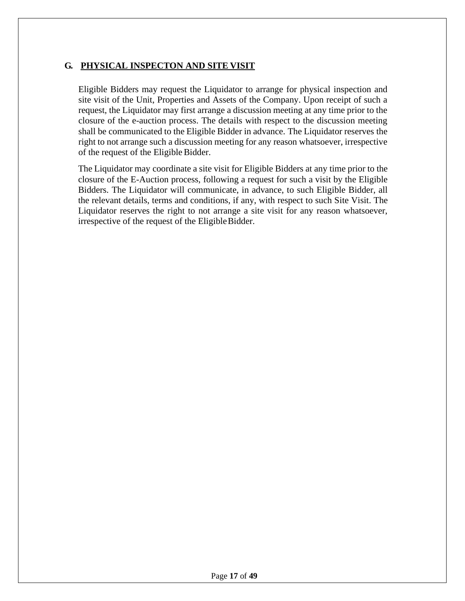## **G. PHYSICAL INSPECTON AND SITE VISIT**

Eligible Bidders may request the Liquidator to arrange for physical inspection and site visit of the Unit, Properties and Assets of the Company. Upon receipt of such a request, the Liquidator may first arrange a discussion meeting at any time prior to the closure of the e-auction process. The details with respect to the discussion meeting shall be communicated to the Eligible Bidder in advance. The Liquidator reserves the right to not arrange such a discussion meeting for any reason whatsoever, irrespective of the request of the Eligible Bidder.

The Liquidator may coordinate a site visit for Eligible Bidders at any time prior to the closure of the E-Auction process, following a request for such a visit by the Eligible Bidders. The Liquidator will communicate, in advance, to such Eligible Bidder, all the relevant details, terms and conditions, if any, with respect to such Site Visit. The Liquidator reserves the right to not arrange a site visit for any reason whatsoever, irrespective of the request of the EligibleBidder.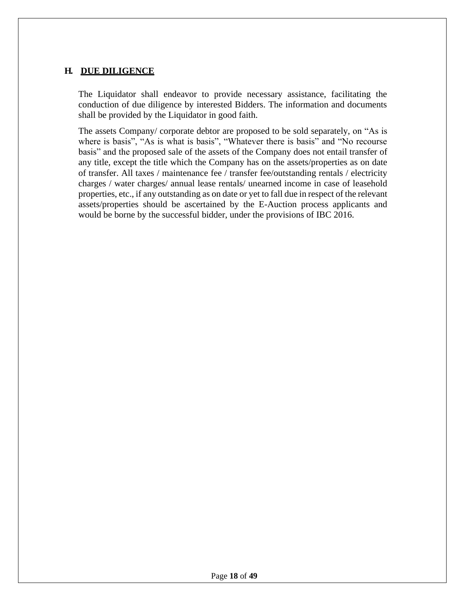## **H. DUE DILIGENCE**

The Liquidator shall endeavor to provide necessary assistance, facilitating the conduction of due diligence by interested Bidders. The information and documents shall be provided by the Liquidator in good faith.

The assets Company/ corporate debtor are proposed to be sold separately, on "As is where is basis", "As is what is basis", "Whatever there is basis" and "No recourse basis" and the proposed sale of the assets of the Company does not entail transfer of any title, except the title which the Company has on the assets/properties as on date of transfer. All taxes / maintenance fee / transfer fee/outstanding rentals / electricity charges / water charges/ annual lease rentals/ unearned income in case of leasehold properties, etc., if any outstanding as on date or yet to fall due in respect of the relevant assets/properties should be ascertained by the E-Auction process applicants and would be borne by the successful bidder, under the provisions of IBC 2016.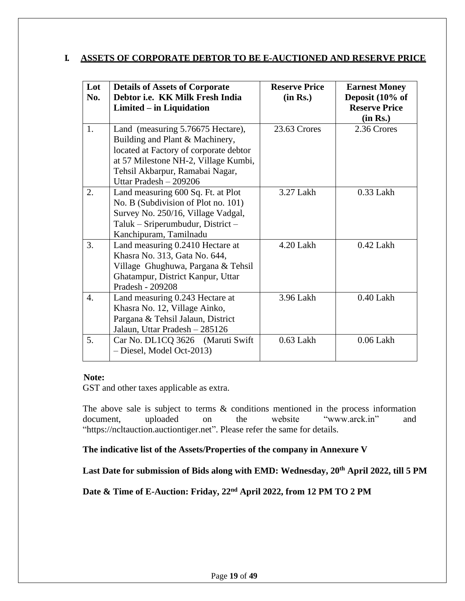## **I. ASSETS OF CORPORATE DEBTOR TO BE E-AUCTIONED AND RESERVE PRICE**

| Lot<br>No.       | <b>Details of Assets of Corporate</b><br>Debtor <i>i.e.</i> KK Milk Fresh India<br>Limited – in Liquidation                                                                                                         | <b>Reserve Price</b><br>(in Rs.) | <b>Earnest Money</b><br>Deposit (10% of<br><b>Reserve Price</b><br>(in Rs.) |
|------------------|---------------------------------------------------------------------------------------------------------------------------------------------------------------------------------------------------------------------|----------------------------------|-----------------------------------------------------------------------------|
| 1.               | Land (measuring 5.76675 Hectare),<br>Building and Plant & Machinery,<br>located at Factory of corporate debtor<br>at 57 Milestone NH-2, Village Kumbi,<br>Tehsil Akbarpur, Ramabai Nagar,<br>Uttar Pradesh - 209206 | 23.63 Crores                     | 2.36 Crores                                                                 |
| 2.               | Land measuring 600 Sq. Ft. at Plot<br>No. B (Subdivision of Plot no. 101)<br>Survey No. 250/16, Village Vadgal,<br>Taluk – Sriperumbudur, District –<br>Kanchipuram, Tamilnadu                                      | 3.27 Lakh                        | $0.33$ Lakh                                                                 |
| 3.               | Land measuring 0.2410 Hectare at<br>Khasra No. 313, Gata No. 644,<br>Village Ghughuwa, Pargana & Tehsil<br>Ghatampur, District Kanpur, Uttar<br>Pradesh - 209208                                                    | 4.20 Lakh                        | $0.42$ Lakh                                                                 |
| $\overline{4}$ . | Land measuring 0.243 Hectare at<br>Khasra No. 12, Village Ainko,<br>Pargana & Tehsil Jalaun, District<br>Jalaun, Uttar Pradesh - 285126                                                                             | 3.96 Lakh                        | $0.40$ Lakh                                                                 |
| 5.               | Car No. DL1CQ 3626 (Maruti Swift)<br>- Diesel, Model Oct-2013)                                                                                                                                                      | $0.63$ Lakh                      | $0.06$ Lakh                                                                 |

## **Note:**

GST and other taxes applicable as extra.

The above sale is subject to terms & conditions mentioned in the process information document, uploaded on the website "www.arck.in" and "https://ncltauction.auctiontiger.net". Please refer the same for details.

**The indicative list of the Assets/Properties of the company in Annexure V**

**Last Date for submission of Bids along with EMD: Wednesday, 20th April 2022, till 5 PM**

**Date & Time of E-Auction: Friday, 22nd April 2022, from 12 PM TO 2 PM**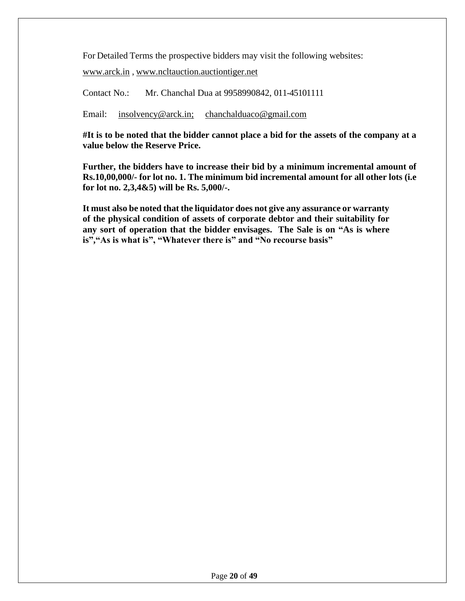For Detailed Terms the prospective bidders may visit the following websites:

[www.arck.in](http://www.arck.in/) , [www.ncltauction.auctiontiger.net](http://www.ncltauction.auctiontiger.net/)

Contact No.: Mr. Chanchal Dua at 9958990842, 011-45101111

Email: [insolvency@arck.in;](mailto:insolvency@arck.in) chanchalduaco@gmail.com

**#It is to be noted that the bidder cannot place a bid for the assets of the company at a value below the Reserve Price.**

**Further, the bidders have to increase their bid by a minimum incremental amount of Rs.10,00,000/- for lot no. 1. The minimum bid incremental amount for all other lots (i.e for lot no. 2,3,4&5) will be Rs. 5,000/-.**

**It must also be noted that the liquidator does not give any assurance or warranty of the physical condition of assets of corporate debtor and their suitability for any sort of operation that the bidder envisages. The Sale is on "As is where is","As is what is", "Whatever there is" and "No recourse basis"**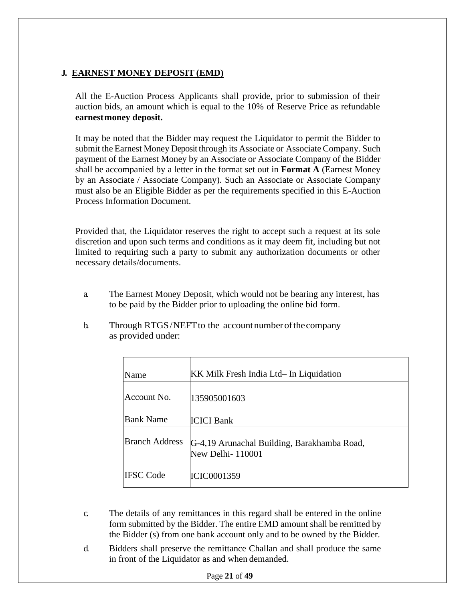## **J. EARNEST MONEY DEPOSIT (EMD)**

All the E-Auction Process Applicants shall provide, prior to submission of their auction bids, an amount which is equal to the 10% of Reserve Price as refundable **earnestmoney deposit.**

It may be noted that the Bidder may request the Liquidator to permit the Bidder to submit the Earnest Money Deposit through its Associate or Associate Company. Such payment of the Earnest Money by an Associate or Associate Company of the Bidder shall be accompanied by a letter in the format set out in **Format A** (Earnest Money by an Associate / Associate Company). Such an Associate or Associate Company must also be an Eligible Bidder as per the requirements specified in this E-Auction Process Information Document.

Provided that, the Liquidator reserves the right to accept such a request at its sole discretion and upon such terms and conditions as it may deem fit, including but not limited to requiring such a party to submit any authorization documents or other necessary details/documents.

- a. The Earnest Money Deposit, which would not be bearing any interest, has to be paid by the Bidder prior to uploading the online bid form.
- b. Through RTGS/NEFT to the account number of the company as provided under:

| Name                  | KK Milk Fresh India Ltd- In Liquidation                          |
|-----------------------|------------------------------------------------------------------|
| Account No.           | 135905001603                                                     |
| <b>Bank Name</b>      | <b>ICICI Bank</b>                                                |
| <b>Branch Address</b> | G-4,19 Arunachal Building, Barakhamba Road,<br>New Delhi- 110001 |
| <b>IFSC</b> Code      | <b>ICIC0001359</b>                                               |

- c. The details of any remittances in this regard shall be entered in the online form submitted by the Bidder. The entire EMD amount shall be remitted by the Bidder (s) from one bank account only and to be owned by the Bidder.
- d. Bidders shall preserve the remittance Challan and shall produce the same in front of the Liquidator as and when demanded.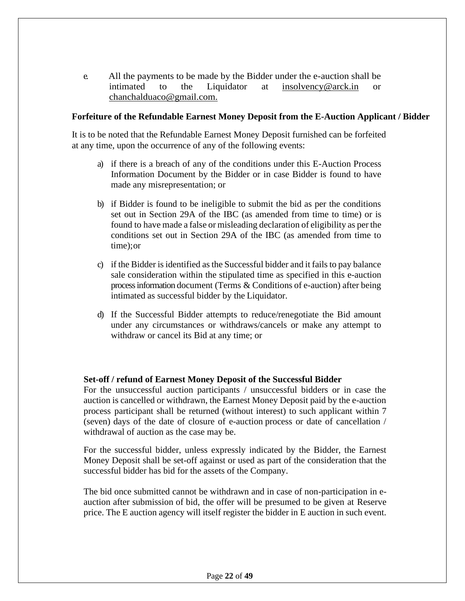e. All the payments to be made by the Bidder under the e-auction shall be intimated to the Liquidator at [insolvency@arck.in](mailto:insolvency@arck.in) or chanchalduaco@gmail.com.

### **Forfeiture of the Refundable Earnest Money Deposit from the E-Auction Applicant / Bidder**

It is to be noted that the Refundable Earnest Money Deposit furnished can be forfeited at any time, upon the occurrence of any of the following events:

- a) if there is a breach of any of the conditions under this E-Auction Process Information Document by the Bidder or in case Bidder is found to have made any misrepresentation; or
- b) if Bidder is found to be ineligible to submit the bid as per the conditions set out in Section 29A of the IBC (as amended from time to time) or is found to have made a false or misleading declaration of eligibility as per the conditions set out in Section 29A of the IBC (as amended from time to time);or
- c) if the Bidder is identified as the Successful bidder and it fails to pay balance sale consideration within the stipulated time as specified in this e-auction process information document (Terms & Conditions of e-auction) after being intimated as successful bidder by the Liquidator.
- d) If the Successful Bidder attempts to reduce/renegotiate the Bid amount under any circumstances or withdraws/cancels or make any attempt to withdraw or cancel its Bid at any time; or

### **Set-off / refund of Earnest Money Deposit of the Successful Bidder**

For the unsuccessful auction participants / unsuccessful bidders or in case the auction is cancelled or withdrawn, the Earnest Money Deposit paid by the e-auction process participant shall be returned (without interest) to such applicant within 7 (seven) days of the date of closure of e-auction process or date of cancellation / withdrawal of auction as the case may be.

For the successful bidder, unless expressly indicated by the Bidder, the Earnest Money Deposit shall be set-off against or used as part of the consideration that the successful bidder has bid for the assets of the Company.

The bid once submitted cannot be withdrawn and in case of non-participation in eauction after submission of bid, the offer will be presumed to be given at Reserve price. The E auction agency will itself register the bidder in E auction in such event.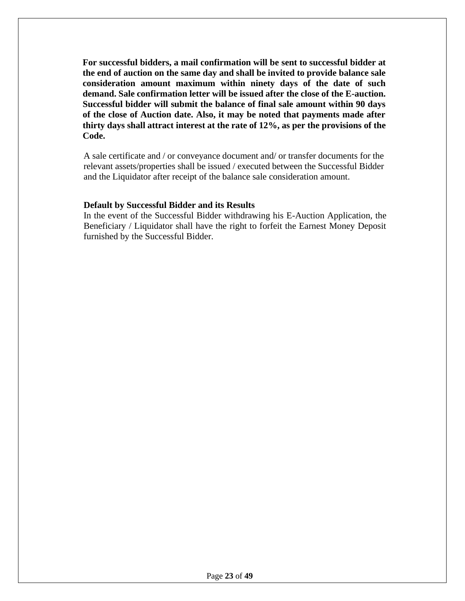**For successful bidders, a mail confirmation will be sent to successful bidder at the end of auction on the same day and shall be invited to provide balance sale consideration amount maximum within ninety days of the date of such demand. Sale confirmation letter will be issued after the close of the E-auction. Successful bidder will submit the balance of final sale amount within 90 days of the close of Auction date. Also, it may be noted that payments made after thirty days shall attract interest at the rate of 12%, as per the provisions of the Code.**

A sale certificate and / or conveyance document and/ or transfer documents for the relevant assets/properties shall be issued / executed between the Successful Bidder and the Liquidator after receipt of the balance sale consideration amount.

#### **Default by Successful Bidder and its Results**

In the event of the Successful Bidder withdrawing his E-Auction Application, the Beneficiary / Liquidator shall have the right to forfeit the Earnest Money Deposit furnished by the Successful Bidder.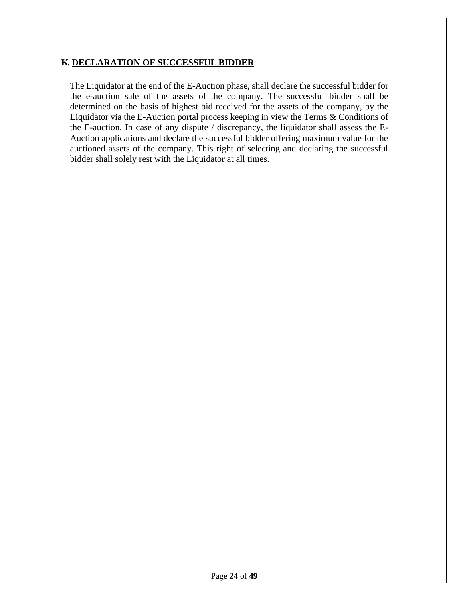### **K. DECLARATION OF SUCCESSFUL BIDDER**

The Liquidator at the end of the E-Auction phase, shall declare the successful bidder for the e-auction sale of the assets of the company. The successful bidder shall be determined on the basis of highest bid received for the assets of the company, by the Liquidator via the E-Auction portal process keeping in view the Terms & Conditions of the E-auction. In case of any dispute / discrepancy, the liquidator shall assess the E-Auction applications and declare the successful bidder offering maximum value for the auctioned assets of the company. This right of selecting and declaring the successful bidder shall solely rest with the Liquidator at all times.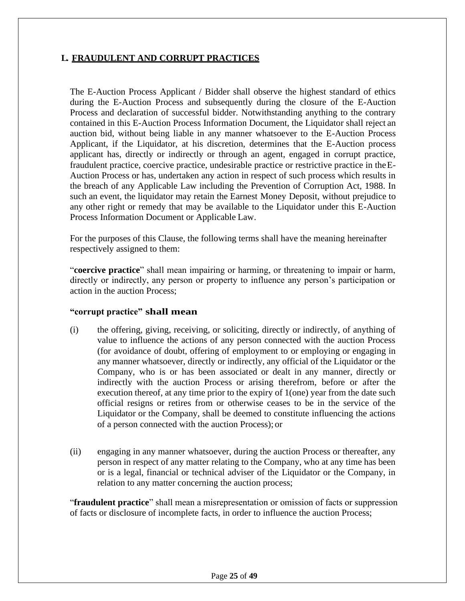## **L. FRAUDULENT AND CORRUPT PRACTICES**

The E-Auction Process Applicant / Bidder shall observe the highest standard of ethics during the E-Auction Process and subsequently during the closure of the E-Auction Process and declaration of successful bidder. Notwithstanding anything to the contrary contained in this E-Auction Process Information Document, the Liquidator shall reject an auction bid, without being liable in any manner whatsoever to the E-Auction Process Applicant, if the Liquidator, at his discretion, determines that the E-Auction process applicant has, directly or indirectly or through an agent, engaged in corrupt practice, fraudulent practice, coercive practice, undesirable practice or restrictive practice in theE-Auction Process or has, undertaken any action in respect of such process which results in the breach of any Applicable Law including the Prevention of Corruption Act, 1988. In such an event, the liquidator may retain the Earnest Money Deposit, without prejudice to any other right or remedy that may be available to the Liquidator under this E-Auction Process Information Document or Applicable Law.

For the purposes of this Clause, the following terms shall have the meaning hereinafter respectively assigned to them:

"**coercive practice**" shall mean impairing or harming, or threatening to impair or harm, directly or indirectly, any person or property to influence any person's participation or action in the auction Process;

### **"corrupt practice" shall mean**

- (i) the offering, giving, receiving, or soliciting, directly or indirectly, of anything of value to influence the actions of any person connected with the auction Process (for avoidance of doubt, offering of employment to or employing or engaging in any manner whatsoever, directly or indirectly, any official of the Liquidator or the Company, who is or has been associated or dealt in any manner, directly or indirectly with the auction Process or arising therefrom, before or after the execution thereof, at any time prior to the expiry of 1(one) year from the date such official resigns or retires from or otherwise ceases to be in the service of the Liquidator or the Company, shall be deemed to constitute influencing the actions of a person connected with the auction Process); or
- (ii) engaging in any manner whatsoever, during the auction Process or thereafter, any person in respect of any matter relating to the Company, who at any time has been or is a legal, financial or technical adviser of the Liquidator or the Company, in relation to any matter concerning the auction process;

"**fraudulent practice**" shall mean a misrepresentation or omission of facts or suppression of facts or disclosure of incomplete facts, in order to influence the auction Process;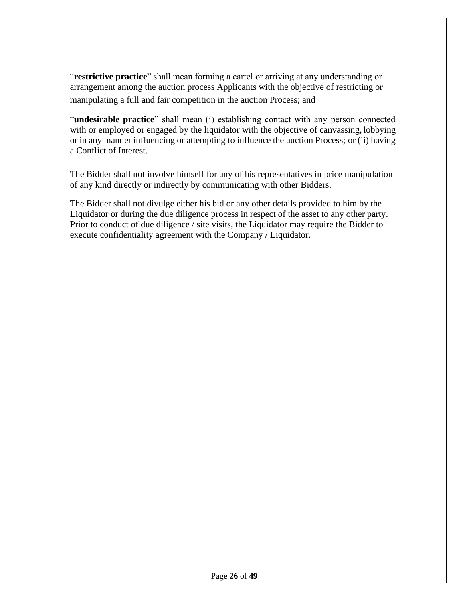"**restrictive practice**" shall mean forming a cartel or arriving at any understanding or arrangement among the auction process Applicants with the objective of restricting or manipulating a full and fair competition in the auction Process; and

"**undesirable practice**" shall mean (i) establishing contact with any person connected with or employed or engaged by the liquidator with the objective of canvassing, lobbying or in any manner influencing or attempting to influence the auction Process; or (ii) having a Conflict of Interest.

The Bidder shall not involve himself for any of his representatives in price manipulation of any kind directly or indirectly by communicating with other Bidders.

The Bidder shall not divulge either his bid or any other details provided to him by the Liquidator or during the due diligence process in respect of the asset to any other party. Prior to conduct of due diligence / site visits, the Liquidator may require the Bidder to execute confidentiality agreement with the Company / Liquidator.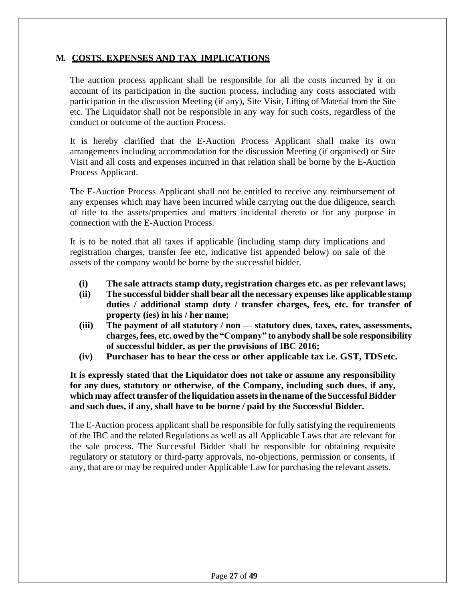## **M. COSTS, EXPENSES AND TAX IMPLICATIONS**

The auction process applicant shall be responsible for all the costs incurred by it on account of its participation in the auction process, including any costs associated with participation in the discussion Meeting (if any), Site Visit, Lifting of Material from the Site etc. The Liquidator shall not be responsible in any way for such costs, regardless of the conduct or outcome of the auction Process.

It is hereby clarified that the E-Auction Process Applicant shall make its own arrangements including accommodation for the discussion Meeting (if organised) or Site Visit and all costs and expenses incurred in that relation shall be borne by the E-Auction Process Applicant.

The E-Auction Process Applicant shall not be entitled to receive any reimbursement of any expenses which may have been incurred while carrying out the due diligence, search of title to the assets/properties and matters incidental thereto or for any purpose in connection with the E-Auction Process.

It is to be noted that all taxes if applicable (including stamp duty implications and registration charges, transfer fee etc, indicative list appended below) on sale of the assets of the company would be borne by the successful bidder.

- **(i) The sale attracts stamp duty, registration charges etc. as per relevantlaws;**
- **(ii) The successful bidder shall bear all the necessary expenses like applicable stamp duties / additional stamp duty / transfer charges, fees, etc. for transfer of property (ies) in his / her name;**
- **(iii) The payment of all statutory / non — statutory dues, taxes, rates, assessments, charges,fees, etc. owed by the "Company" to anybody shall be sole responsibility of successful bidder, as per the provisions of IBC 2016;**
- **(iv) Purchaser has to bear the cess or other applicable tax i.e. GST, TDSetc.**

**It is expressly stated that the Liquidator does not take or assume any responsibility for any dues, statutory or otherwise, of the Company, including such dues, if any, which may affecttransfer ofthe liquidation assetsin the name ofthe SuccessfulBidder and such dues, if any, shall have to be borne / paid by the Successful Bidder.**

The E-Auction process applicant shall be responsible for fully satisfying the requirements of the IBC and the related Regulations as well as all Applicable Laws that are relevant for the sale process. The Successful Bidder shall be responsible for obtaining requisite regulatory or statutory or third-party approvals, no-objections, permission or consents, if any, that are or may be required under Applicable Law for purchasing the relevant assets.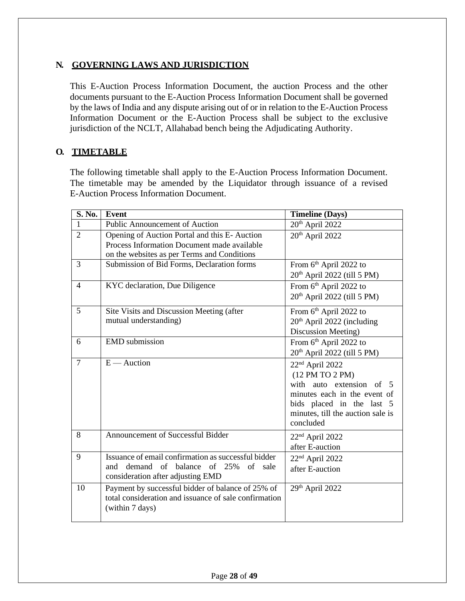## **N. GOVERNING LAWS AND JURISDICTION**

This E-Auction Process Information Document, the auction Process and the other documents pursuant to the E-Auction Process Information Document shall be governed by the laws of India and any dispute arising out of or in relation to the E-Auction Process Information Document or the E-Auction Process shall be subject to the exclusive jurisdiction of the NCLT, Allahabad bench being the Adjudicating Authority.

## **O. TIMETABLE**

The following timetable shall apply to the E-Auction Process Information Document. The timetable may be amended by the Liquidator through issuance of a revised E-Auction Process Information Document.

| S. No.         | <b>Event</b>                                                                                                                                | <b>Timeline (Days)</b>                                                                                                                                                                         |
|----------------|---------------------------------------------------------------------------------------------------------------------------------------------|------------------------------------------------------------------------------------------------------------------------------------------------------------------------------------------------|
| $\mathbf{1}$   | <b>Public Announcement of Auction</b>                                                                                                       | 20 <sup>th</sup> April 2022                                                                                                                                                                    |
| $\overline{2}$ | Opening of Auction Portal and this E- Auction<br>Process Information Document made available<br>on the websites as per Terms and Conditions | $20th$ April 2022                                                                                                                                                                              |
| 3              | Submission of Bid Forms, Declaration forms                                                                                                  | From 6th April 2022 to<br>20 <sup>th</sup> April 2022 (till 5 PM)                                                                                                                              |
| $\overline{4}$ | KYC declaration, Due Diligence                                                                                                              | From 6th April 2022 to<br>20 <sup>th</sup> April 2022 (till 5 PM)                                                                                                                              |
| 5              | Site Visits and Discussion Meeting (after<br>mutual understanding)                                                                          | From 6 <sup>th</sup> April 2022 to<br>20 <sup>th</sup> April 2022 (including<br>Discussion Meeting)                                                                                            |
| 6              | <b>EMD</b> submission                                                                                                                       | From 6 <sup>th</sup> April 2022 to<br>20 <sup>th</sup> April 2022 (till 5 PM)                                                                                                                  |
| $\overline{7}$ | $E -$ Auction                                                                                                                               | 22 <sup>nd</sup> April 2022<br>(12 PM TO 2 PM)<br>with auto extension of<br>- 5<br>minutes each in the event of<br>bids placed in the last 5<br>minutes, till the auction sale is<br>concluded |
| 8              | <b>Announcement of Successful Bidder</b>                                                                                                    | $22nd$ April 2022<br>after E-auction                                                                                                                                                           |
| 9              | Issuance of email confirmation as successful bidder<br>demand of balance of 25%<br>of<br>and<br>sale<br>consideration after adjusting EMD   | 22 <sup>nd</sup> April 2022<br>after E-auction                                                                                                                                                 |
| 10             | Payment by successful bidder of balance of 25% of<br>total consideration and issuance of sale confirmation<br>(within 7 days)               | $29th$ April 2022                                                                                                                                                                              |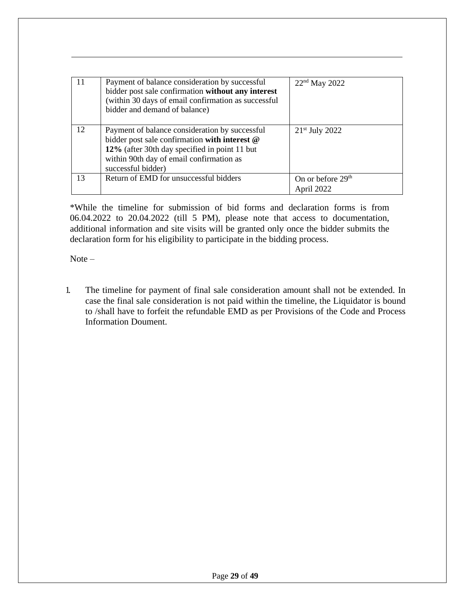| 11 | Payment of balance consideration by successful<br>bidder post sale confirmation without any interest<br>(within 30 days of email confirmation as successful<br>bidder and demand of balance)                         | $22nd$ May 2022                             |
|----|----------------------------------------------------------------------------------------------------------------------------------------------------------------------------------------------------------------------|---------------------------------------------|
| 12 | Payment of balance consideration by successful<br>bidder post sale confirmation with interest $@$<br>12% (after 30th day specified in point 11 but<br>within 90th day of email confirmation as<br>successful bidder) | $21st$ July 2022                            |
| 13 | Return of EMD for unsuccessful bidders                                                                                                                                                                               | On or before 29 <sup>th</sup><br>April 2022 |

\*While the timeline for submission of bid forms and declaration forms is from 06.04.2022 to 20.04.2022 (till 5 PM), please note that access to documentation, additional information and site visits will be granted only once the bidder submits the declaration form for his eligibility to participate in the bidding process.

 $Note -$ 

1. The timeline for payment of final sale consideration amount shall not be extended. In case the final sale consideration is not paid within the timeline, the Liquidator is bound to /shall have to forfeit the refundable EMD as per Provisions of the Code and Process Information Doument.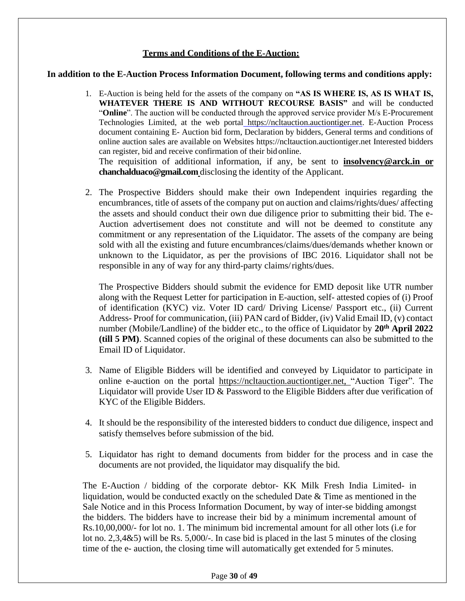## **Terms and Conditions of the E-Auction:**

## **In addition to the E-Auction Process Information Document, following terms and conditions apply:**

1. E-Auction is being held for the assets of the company on **"AS IS WHERE IS, AS IS WHAT IS, WHATEVER THERE IS AND WITHOUT RECOURSE BASIS"** and will be conducted "**Online**". The auction will be conducted through the approved service provider M/s E-Procurement Technologies Limited, at the web portal [https://ncltauction.auctiontiger.net.](https://ncltauction.auctiontiger.net/) E-Auction Process document containing E- Auction bid form, Declaration by bidders, General terms and conditions of online auction sales are available on Websites [https://ncltauction.auctiontiger.net I](https://ncltauction.auctiontiger.net/)nterested bidders can register, bid and receive confirmation of their bid online. The requisition of additional information, if any, be sent to **insolvenc[y@arck.in](mailto:gujaratoleo@aaainsolvencv.com) or** 

**chanchalduaco@gmail.com** disclosing the identity of the Applicant.

2. The Prospective Bidders should make their own Independent inquiries regarding the encumbrances, title of assets of the company put on auction and claims/rights/dues/ affecting the assets and should conduct their own due diligence prior to submitting their bid. The e-Auction advertisement does not constitute and will not be deemed to constitute any commitment or any representation of the Liquidator. The assets of the company are being sold with all the existing and future encumbrances/claims/dues/demands whether known or unknown to the Liquidator, as per the provisions of IBC 2016. Liquidator shall not be responsible in any of way for any third-party claims/rights/dues.

The Prospective Bidders should submit the evidence for EMD deposit like UTR number along with the Request Letter for participation in E-auction, self- attested copies of (i) Proof of identification (KYC) viz. Voter ID card/ Driving License/ Passport etc., (ii) Current Address- Proof for communication, (iii) PAN card of Bidder, (iv) Valid Email ID, (v) contact number (Mobile/Landline) of the bidder etc., to the office of Liquidator by **20th April 2022 (till 5 PM)**. Scanned copies of the original of these documents can also be submitted to the Email ID of Liquidator.

- 3. Name of Eligible Bidders will be identified and conveyed by Liquidator to participate in online e-auction on the portal https://ncltauction.auctiontiger.net, "Auction Tiger". The Liquidator will provide User ID & Password to the Eligible Bidders after due verification of KYC of the Eligible Bidders.
- 4. It should be the responsibility of the interested bidders to conduct due diligence, inspect and satisfy themselves before submission of the bid.
- 5. Liquidator has right to demand documents from bidder for the process and in case the documents are not provided, the liquidator may disqualify the bid.

The E-Auction / bidding of the corporate debtor- KK Milk Fresh India Limited- in liquidation, would be conducted exactly on the scheduled Date & Time as mentioned in the Sale Notice and in this Process Information Document, by way of inter-se bidding amongst the bidders. The bidders have to increase their bid by a minimum incremental amount of Rs.10,00,000/- for lot no. 1. The minimum bid incremental amount for all other lots (i.e for lot no. 2,3,4&5) will be Rs. 5,000/-. In case bid is placed in the last 5 minutes of the closing time of the e- auction, the closing time will automatically get extended for 5 minutes.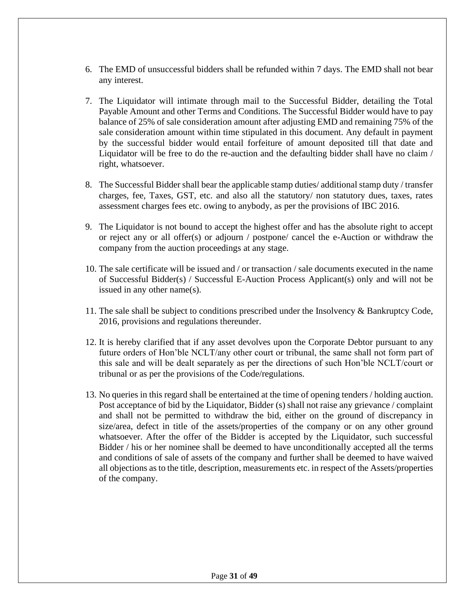- 6. The EMD of unsuccessful bidders shall be refunded within 7 days. The EMD shall not bear any interest.
- 7. The Liquidator will intimate through mail to the Successful Bidder, detailing the Total Payable Amount and other Terms and Conditions. The Successful Bidder would have to pay balance of 25% of sale consideration amount after adjusting EMD and remaining 75% of the sale consideration amount within time stipulated in this document. Any default in payment by the successful bidder would entail forfeiture of amount deposited till that date and Liquidator will be free to do the re-auction and the defaulting bidder shall have no claim / right, whatsoever.
- 8. The Successful Bidder shall bear the applicable stamp duties/ additional stamp duty / transfer charges, fee, Taxes, GST, etc. and also all the statutory/ non statutory dues, taxes, rates assessment charges fees etc. owing to anybody, as per the provisions of IBC 2016.
- 9. The Liquidator is not bound to accept the highest offer and has the absolute right to accept or reject any or all offer(s) or adjourn / postpone/ cancel the e-Auction or withdraw the company from the auction proceedings at any stage.
- 10. The sale certificate will be issued and / or transaction / sale documents executed in the name of Successful Bidder(s) / Successful E-Auction Process Applicant(s) only and will not be issued in any other name(s).
- 11. The sale shall be subject to conditions prescribed under the Insolvency & Bankruptcy Code, 2016, provisions and regulations thereunder.
- 12. It is hereby clarified that if any asset devolves upon the Corporate Debtor pursuant to any future orders of Hon'ble NCLT/any other court or tribunal, the same shall not form part of this sale and will be dealt separately as per the directions of such Hon'ble NCLT/court or tribunal or as per the provisions of the Code/regulations.
- 13. No queries in this regard shall be entertained at the time of opening tenders / holding auction. Post acceptance of bid by the Liquidator, Bidder (s) shall not raise any grievance / complaint and shall not be permitted to withdraw the bid, either on the ground of discrepancy in size/area, defect in title of the assets/properties of the company or on any other ground whatsoever. After the offer of the Bidder is accepted by the Liquidator, such successful Bidder / his or her nominee shall be deemed to have unconditionally accepted all the terms and conditions of sale of assets of the company and further shall be deemed to have waived all objections as to the title, description, measurements etc. in respect of the Assets/properties of the company.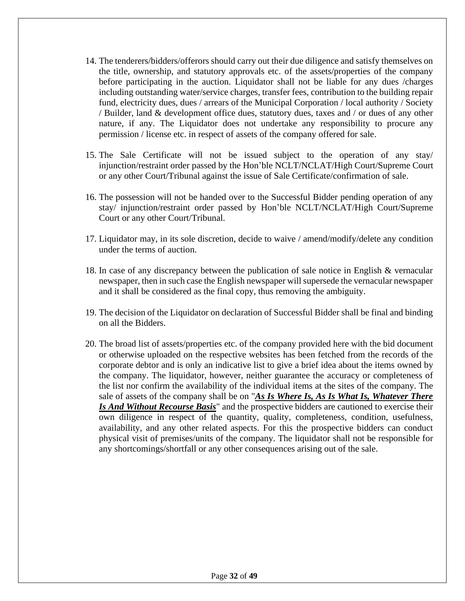- 14. The tenderers/bidders/offerors should carry out their due diligence and satisfy themselves on the title, ownership, and statutory approvals etc. of the assets/properties of the company before participating in the auction. Liquidator shall not be liable for any dues /charges including outstanding water/service charges, transfer fees, contribution to the building repair fund, electricity dues, dues / arrears of the Municipal Corporation / local authority / Society / Builder, land & development office dues, statutory dues, taxes and / or dues of any other nature, if any. The Liquidator does not undertake any responsibility to procure any permission / license etc. in respect of assets of the company offered for sale.
- 15. The Sale Certificate will not be issued subject to the operation of any stay/ injunction/restraint order passed by the Hon'ble NCLT/NCLAT/High Court/Supreme Court or any other Court/Tribunal against the issue of Sale Certificate/confirmation of sale.
- 16. The possession will not be handed over to the Successful Bidder pending operation of any stay/ injunction/restraint order passed by Hon'ble NCLT/NCLAT/High Court/Supreme Court or any other Court/Tribunal.
- 17. Liquidator may, in its sole discretion, decide to waive / amend/modify/delete any condition under the terms of auction.
- 18. In case of any discrepancy between the publication of sale notice in English & vernacular newspaper, then in such case the English newspaper will supersede the vernacular newspaper and it shall be considered as the final copy, thus removing the ambiguity.
- 19. The decision of the Liquidator on declaration of Successful Bidder shall be final and binding on all the Bidders.
- 20. The broad list of assets/properties etc. of the company provided here with the bid document or otherwise uploaded on the respective websites has been fetched from the records of the corporate debtor and is only an indicative list to give a brief idea about the items owned by the company. The liquidator, however, neither guarantee the accuracy or completeness of the list nor confirm the availability of the individual items at the sites of the company. The sale of assets of the company shall be on "*As Is Where Is, As Is What Is, Whatever There Is And Without Recourse Basis*" and the prospective bidders are cautioned to exercise their own diligence in respect of the quantity, quality, completeness, condition, usefulness, availability, and any other related aspects. For this the prospective bidders can conduct physical visit of premises/units of the company. The liquidator shall not be responsible for any shortcomings/shortfall or any other consequences arising out of the sale.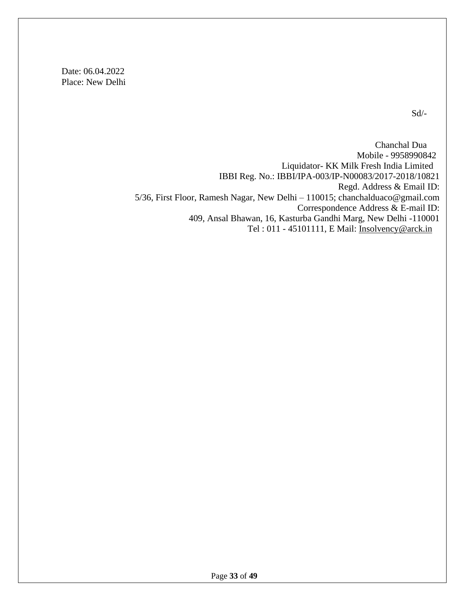Date: 06.04.2022 Place: New Delhi

Sd/-

 Chanchal Dua Mobile - 9958990842 Liquidator- KK Milk Fresh India Limited IBBI Reg. No.: IBBI/IPA-003/IP-N00083/2017-2018/10821 Regd. Address & Email ID: 5/36, First Floor, Ramesh Nagar, New Delhi – 110015; chanchalduaco@gmail.com Correspondence Address & E-mail ID: 409, Ansal Bhawan, 16, Kasturba Gandhi Marg, New Delhi -110001 Tel : 011 - 45101111, E Mail: [Insolvency@arck.in](mailto:Insolvency@arck.in)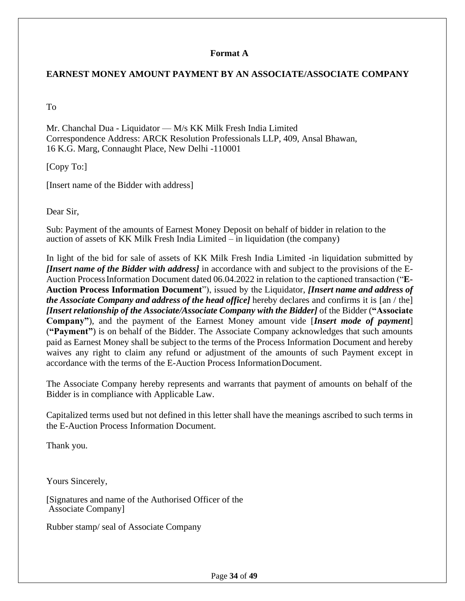### **Format A**

## **EARNEST MONEY AMOUNT PAYMENT BY AN ASSOCIATE/ASSOCIATE COMPANY**

To

Mr. Chanchal Dua - Liquidator — M/s KK Milk Fresh India Limited Correspondence Address: ARCK Resolution Professionals LLP, 409, Ansal Bhawan, 16 K.G. Marg, Connaught Place, New Delhi -110001

[Copy To:]

[Insert name of the Bidder with address]

Dear Sir,

Sub: Payment of the amounts of Earnest Money Deposit on behalf of bidder in relation to the auction of assets of KK Milk Fresh India Limited – in liquidation (the company)

In light of the bid for sale of assets of KK Milk Fresh India Limited -in liquidation submitted by *[Insert name of the Bidder with address]* in accordance with and subject to the provisions of the E-Auction ProcessInformation Document dated 06.04.2022 in relation to the captioned transaction ("**E-Auction Process Information Document**"), issued by the Liquidator, *[Insert name and address of the Associate Company and address of the head office]* hereby declares and confirms it is [an / the] *[Insert relationship of the Associate/Associate Company with the Bidder]* of the Bidder (**"Associate Company"**), and the payment of the Earnest Money amount vide [*Insert mode of payment*] (**"Payment"**) is on behalf of the Bidder. The Associate Company acknowledges that such amounts paid as Earnest Money shall be subject to the terms of the Process Information Document and hereby waives any right to claim any refund or adjustment of the amounts of such Payment except in accordance with the terms of the E-Auction Process InformationDocument.

The Associate Company hereby represents and warrants that payment of amounts on behalf of the Bidder is in compliance with Applicable Law.

Capitalized terms used but not defined in this letter shall have the meanings ascribed to such terms in the E-Auction Process Information Document.

Thank you.

Yours Sincerely,

[Signatures and name of the Authorised Officer of the Associate Company]

Rubber stamp/ seal of Associate Company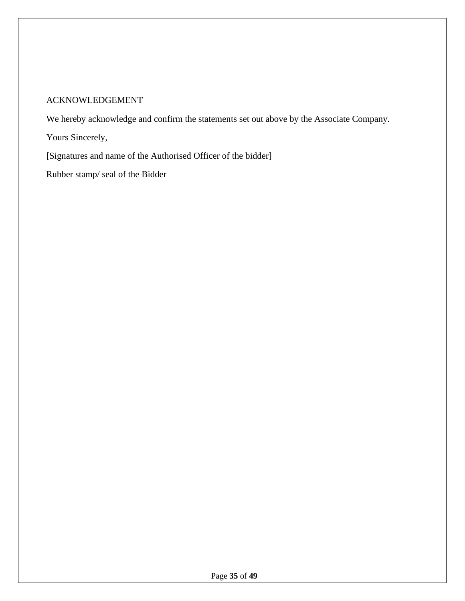## ACKNOWLEDGEMENT

We hereby acknowledge and confirm the statements set out above by the Associate Company.

Yours Sincerely,

[Signatures and name of the Authorised Officer of the bidder]

Rubber stamp/ seal of the Bidder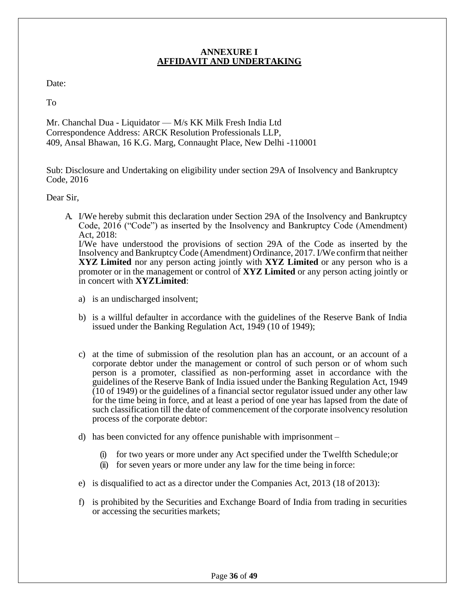#### **ANNEXURE I AFFIDAVIT AND UNDERTAKING**

Date:

To

Mr. Chanchal Dua - Liquidator — M/s KK Milk Fresh India Ltd Correspondence Address: ARCK Resolution Professionals LLP, 409, Ansal Bhawan, 16 K.G. Marg, Connaught Place, New Delhi -110001

Sub: Disclosure and Undertaking on eligibility under section 29A of Insolvency and Bankruptcy Code, 2016

Dear Sir,

A. I/We hereby submit this declaration under Section 29A of the Insolvency and Bankruptcy Code, 2016 ("Code") as inserted by the Insolvency and Bankruptcy Code (Amendment) Act, 2018:

I/We have understood the provisions of section 29A of the Code as inserted by the Insolvency and Bankruptcy Code (Amendment) Ordinance, 2017. I/We confirm that neither **XYZ Limited** nor any person acting jointly with **XYZ Limited** or any person who is a promoter or in the management or control of **XYZ Limited** or any person acting jointly or in concert with **XYZLimited**:

- a) is an undischarged insolvent;
- b) is a willful defaulter in accordance with the guidelines of the Reserve Bank of India issued under the Banking Regulation Act, 1949 (10 of 1949);
- c) at the time of submission of the resolution plan has an account, or an account of a corporate debtor under the management or control of such person or of whom such person is a promoter, classified as non-performing asset in accordance with the guidelines of the Reserve Bank of India issued under the Banking Regulation Act, 1949 (10 of 1949) or the guidelines of a financial sector regulator issued under any other law for the time being in force, and at least a period of one year has lapsed from the date of such classification till the date of commencement of the corporate insolvency resolution process of the corporate debtor:
- d) has been convicted for any offence punishable with imprisonment
	- (i) for two years or more under any Act specified under the Twelfth Schedule;or
	- (ii) for seven years or more under any law for the time being in force:
- e) is disqualified to act as a director under the Companies Act, 2013 (18 of 2013):
- f) is prohibited by the Securities and Exchange Board of India from trading in securities or accessing the securities markets;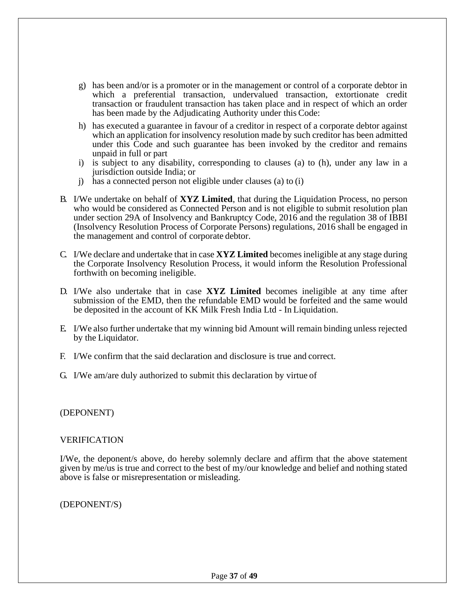- g) has been and/or is a promoter or in the management or control of a corporate debtor in which a preferential transaction, undervalued transaction, extortionate credit transaction or fraudulent transaction has taken place and in respect of which an order has been made by the Adjudicating Authority under this Code:
- h) has executed a guarantee in favour of a creditor in respect of a corporate debtor against which an application for insolvency resolution made by such creditor has been admitted under this Code and such guarantee has been invoked by the creditor and remains unpaid in full or part
- i) is subject to any disability, corresponding to clauses (a) to (h), under any law in a jurisdiction outside India; or
- j) has a connected person not eligible under clauses (a) to (i)
- B. I/We undertake on behalf of **XYZ Limited**, that during the Liquidation Process, no person who would be considered as Connected Person and is not eligible to submit resolution plan under section 29A of Insolvency and Bankruptcy Code, 2016 and the regulation 38 of IBBI (Insolvency Resolution Process of Corporate Persons) regulations, 2016 shall be engaged in the management and control of corporate debtor.
- C. I/We declare and undertake that in case **XYZ Limited** becomes ineligible at any stage during the Corporate Insolvency Resolution Process, it would inform the Resolution Professional forthwith on becoming ineligible.
- D. I/We also undertake that in case **XYZ Limited** becomes ineligible at any time after submission of the EMD, then the refundable EMD would be forfeited and the same would be deposited in the account of KK Milk Fresh India Ltd - In Liquidation.
- E. I/We also further undertake that my winning bid Amount will remain binding unless rejected by the Liquidator.
- F. I/We confirm that the said declaration and disclosure is true and correct.
- G. I/We am/are duly authorized to submit this declaration by virtue of

(DEPONENT)

#### VERIFICATION

I/We, the deponent/s above, do hereby solemnly declare and affirm that the above statement given by me/us is true and correct to the best of my/our knowledge and belief and nothing stated above is false or misrepresentation or misleading.

#### (DEPONENT/S)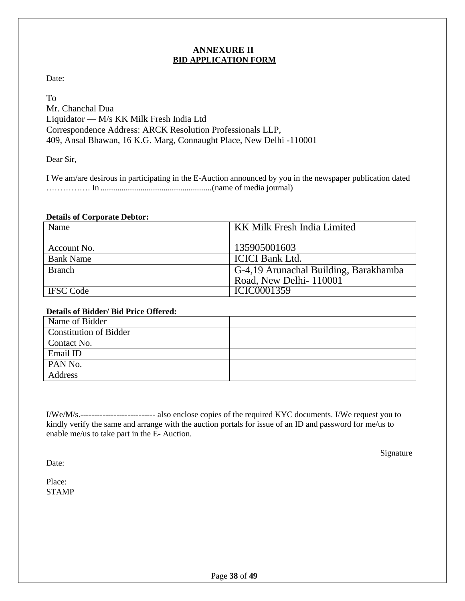#### **ANNEXURE II BID APPLICATION FORM**

Date:

To Mr. Chanchal Dua Liquidator — M/s KK Milk Fresh India Ltd Correspondence Address: ARCK Resolution Professionals LLP, 409, Ansal Bhawan, 16 K.G. Marg, Connaught Place, New Delhi -110001

Dear Sir,

I We am/are desirous in participating in the E-Auction announced by you in the newspaper publication dated ……………. In .....................................................(name of media journal)

#### **Details of Corporate Debtor:**

| Name             | KK Milk Fresh India Limited           |
|------------------|---------------------------------------|
|                  |                                       |
| Account No.      | 135905001603                          |
| <b>Bank Name</b> | <b>ICICI Bank Ltd.</b>                |
| <b>Branch</b>    | G-4,19 Arunachal Building, Barakhamba |
|                  | Road, New Delhi-110001                |
| <b>IFSC</b> Code | ICIC0001359                           |

#### **Details of Bidder/ Bid Price Offered:**

| Name of Bidder         |  |
|------------------------|--|
| Constitution of Bidder |  |
| Contact No.            |  |
| Email ID               |  |
| PAN No.                |  |
| Address                |  |

I/We/M/s.--------------------------- also enclose copies of the required KYC documents. I/We request you to kindly verify the same and arrange with the auction portals for issue of an ID and password for me/us to enable me/us to take part in the E- Auction.

Signature

Date:

Place: STAMP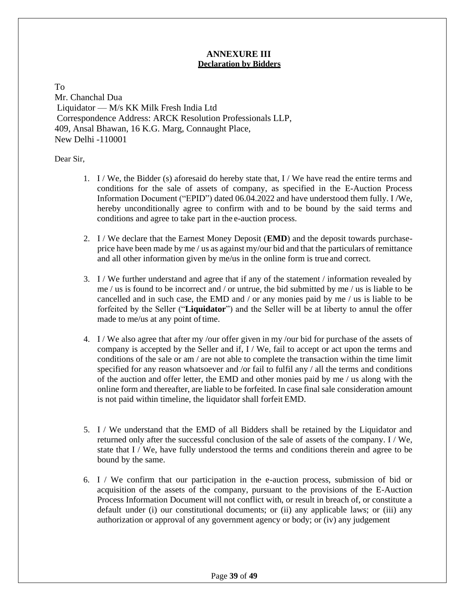#### **ANNEXURE III Declaration by Bidders**

To Mr. Chanchal Dua Liquidator — M/s KK Milk Fresh India Ltd Correspondence Address: ARCK Resolution Professionals LLP, 409, Ansal Bhawan, 16 K.G. Marg, Connaught Place, New Delhi -110001

Dear Sir,

- 1. I / We, the Bidder (s) aforesaid do hereby state that, I / We have read the entire terms and conditions for the sale of assets of company, as specified in the E-Auction Process Information Document ("EPID") dated 06.04.2022 and have understood them fully. I /We, hereby unconditionally agree to confirm with and to be bound by the said terms and conditions and agree to take part in the e-auction process.
- 2. I / We declare that the Earnest Money Deposit (**EMD**) and the deposit towards purchaseprice have been made by me / us as against my/our bid and that the particulars of remittance and all other information given by me/us in the online form is true and correct.
- 3. I / We further understand and agree that if any of the statement / information revealed by me / us is found to be incorrect and / or untrue, the bid submitted by me / us is liable to be cancelled and in such case, the EMD and / or any monies paid by me / us is liable to be forfeited by the Seller ("**Liquidator**") and the Seller will be at liberty to annul the offer made to me/us at any point of time.
- 4. I / We also agree that after my /our offer given in my /our bid for purchase of the assets of company is accepted by the Seller and if,  $I / We$ , fail to accept or act upon the terms and conditions of the sale or am / are not able to complete the transaction within the time limit specified for any reason whatsoever and /or fail to fulfil any / all the terms and conditions of the auction and offer letter, the EMD and other monies paid by me / us along with the online form and thereafter, are liable to be forfeited. In case final sale consideration amount is not paid within timeline, the liquidator shall forfeit EMD.
- 5. I / We understand that the EMD of all Bidders shall be retained by the Liquidator and returned only after the successful conclusion of the sale of assets of the company. I / We, state that I / We, have fully understood the terms and conditions therein and agree to be bound by the same.
- 6. I / We confirm that our participation in the e-auction process, submission of bid or acquisition of the assets of the company, pursuant to the provisions of the E-Auction Process Information Document will not conflict with, or result in breach of, or constitute a default under (i) our constitutional documents; or (ii) any applicable laws; or (iii) any authorization or approval of any government agency or body; or (iv) any judgement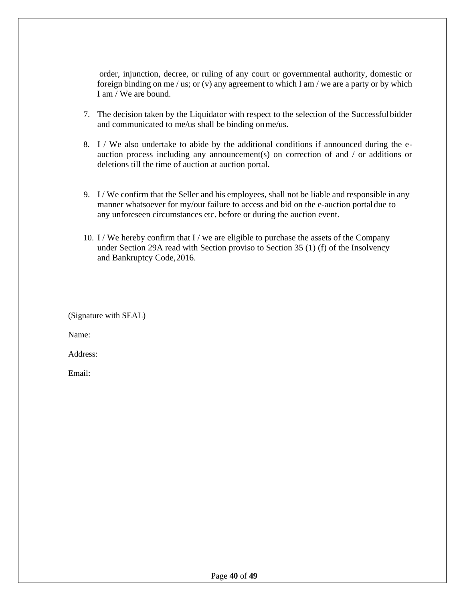order, injunction, decree, or ruling of any court or governmental authority, domestic or foreign binding on me / us; or (v) any agreement to which I am / we are a party or by which I am / We are bound.

- 7. The decision taken by the Liquidator with respect to the selection of the Successful bidder and communicated to me/us shall be binding onme/us.
- 8. I / We also undertake to abide by the additional conditions if announced during the eauction process including any announcement(s) on correction of and / or additions or deletions till the time of auction at auction portal.
- 9. I / We confirm that the Seller and his employees, shall not be liable and responsible in any manner whatsoever for my/our failure to access and bid on the e-auction portaldue to any unforeseen circumstances etc. before or during the auction event.
- 10. I / We hereby confirm that I / we are eligible to purchase the assets of the Company under Section 29A read with Section proviso to Section 35 (1) (f) of the Insolvency and Bankruptcy Code,2016.

(Signature with SEAL)

Name:

Address:

Email: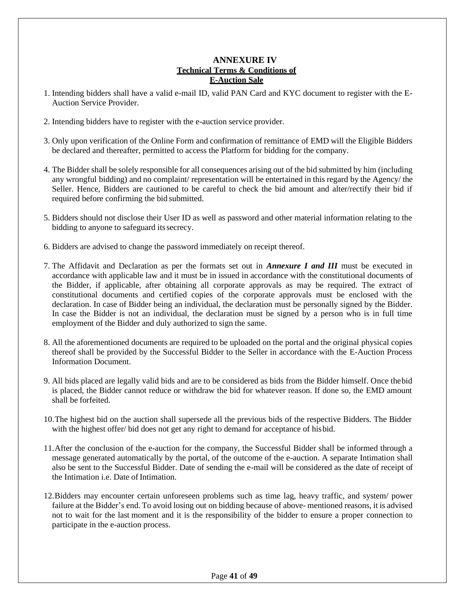#### **ANNEXURE IV Technical Terms & Conditions of E-Auction Sale**

- 1. Intending bidders shall have a valid e-mail ID, valid PAN Card and KYC document to register with the E-Auction Service Provider.
- 2. Intending bidders have to register with the e-auction service provider.
- 3. Only upon verification of the Online Form and confirmation of remittance of EMD will the Eligible Bidders be declared and thereafter, permitted to access the Platform for bidding for the company.
- 4. The Bidder shall be solely responsible for all consequences arising out of the bid submitted by him (including any wrongful bidding) and no complaint/ representation will be entertained in this regard by the Agency/ the Seller. Hence, Bidders are cautioned to be careful to check the bid amount and alter/rectify their bid if required before confirming the bid submitted.
- 5. Bidders should not disclose their User ID as well as password and other material information relating to the bidding to anyone to safeguard its secrecy.
- 6. Bidders are advised to change the password immediately on receipt thereof.
- 7. The Affidavit and Declaration as per the formats set out in *Annexure I and III* must be executed in accordance with applicable law and it must be in issued in accordance with the constitutional documents of the Bidder, if applicable, after obtaining all corporate approvals as may be required. The extract of constitutional documents and certified copies of the corporate approvals must be enclosed with the declaration. In case of Bidder being an individual, the declaration must be personally signed by the Bidder. In case the Bidder is not an individual, the declaration must be signed by a person who is in full time employment of the Bidder and duly authorized to sign the same.
- 8. All the aforementioned documents are required to be uploaded on the portal and the original physical copies thereof shall be provided by the Successful Bidder to the Seller in accordance with the E-Auction Process Information Document.
- 9. All bids placed are legally valid bids and are to be considered as bids from the Bidder himself. Once thebid is placed, the Bidder cannot reduce or withdraw the bid for whatever reason. If done so, the EMD amount shall be forfeited.
- 10.The highest bid on the auction shall supersede all the previous bids of the respective Bidders. The Bidder with the highest offer/ bid does not get any right to demand for acceptance of hisbid.
- 11.After the conclusion of the e-auction for the company, the Successful Bidder shall be informed through a message generated automatically by the portal, of the outcome of the e-auction. A separate Intimation shall also be sent to the Successful Bidder. Date of sending the e-mail will be considered as the date of receipt of the Intimation i.e. Date of Intimation.
- 12.Bidders may encounter certain unforeseen problems such as time lag, heavy traffic, and system/ power failure at the Bidder's end. To avoid losing out on bidding because of above- mentioned reasons, it is advised not to wait for the last moment and it is the responsibility of the bidder to ensure a proper connection to participate in the e-auction process.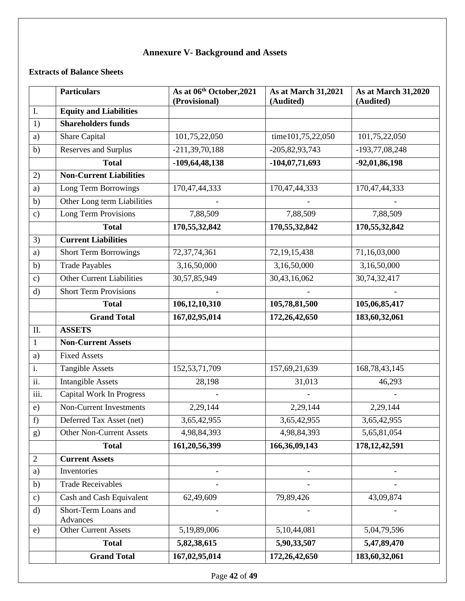# **Annexure V- Background and Assets**

# **Extracts of Balance Sheets**

|                | <b>Particulars</b>               | As at 06th October, 2021<br>(Provisional) | <b>As at March 31,2021</b><br>(Audited) | As at March 31,2020<br>(Audited) |
|----------------|----------------------------------|-------------------------------------------|-----------------------------------------|----------------------------------|
| I.             | <b>Equity and Liabilities</b>    |                                           |                                         |                                  |
| 1)             | <b>Shareholders funds</b>        |                                           |                                         |                                  |
| a)             | <b>Share Capital</b>             | 101,75,22,050                             | time101,75,22,050                       | 101,75,22,050                    |
| b)             | Reserves and Surplus             | $-211, 39, 70, 188$                       | $-205,82,93,743$                        | $-193,77,08,248$                 |
|                | <b>Total</b>                     | $-109,64,48,138$                          | $-104,07,71,693$                        | $-92,01,86,198$                  |
| 2)             | <b>Non-Current Liabilities</b>   |                                           |                                         |                                  |
| a)             | Long Term Borrowings             | 170, 47, 44, 333                          | 170, 47, 44, 333                        | 170, 47, 44, 333                 |
| b)             | Other Long term Liabilities      |                                           |                                         |                                  |
| $\mathbf{c})$  | Long Term Provisions             | 7,88,509                                  | 7,88,509                                | 7,88,509                         |
|                | <b>Total</b>                     | 170,55,32,842                             | 170,55,32,842                           | 170,55,32,842                    |
| 3)             | <b>Current Liabilities</b>       |                                           |                                         |                                  |
| a)             | <b>Short Term Borrowings</b>     | 72, 37, 74, 361                           | 72, 19, 15, 438                         | 71,16,03,000                     |
| b)             | <b>Trade Payables</b>            | 3,16,50,000                               | 3,16,50,000                             | 3,16,50,000                      |
| $\mathbf{c})$  | Other Current Liabilities        | 30,57,85,949                              | 30,43,16,062                            | 30,74,32,417                     |
| d)             | <b>Short Term Provisions</b>     |                                           |                                         |                                  |
|                | <b>Total</b>                     | 106,12,10,310                             | 105,78,81,500                           | 105,06,85,417                    |
|                | <b>Grand Total</b>               | 167,02,95,014                             | 172,26,42,650                           | 183,60,32,061                    |
| Π.             | <b>ASSETS</b>                    |                                           |                                         |                                  |
| $\mathbf{1}$   | Non-Current Assets               |                                           |                                         |                                  |
| a)             | <b>Fixed Assets</b>              |                                           |                                         |                                  |
| i.             | <b>Tangible Assets</b>           | 152, 53, 71, 709                          | 157,69,21,639                           | 168,78,43,145                    |
| ii.            | <b>Intangible Assets</b>         | 28,198                                    | 31,013                                  | 46,293                           |
| iii.           | <b>Capital Work In Progress</b>  |                                           |                                         |                                  |
| e)             | <b>Non-Current Investments</b>   | 2,29,144                                  | 2,29,144                                | 2,29,144                         |
| f              | Deferred Tax Asset (net)         | 3,65,42,955                               | 3,65,42,955                             | 3,65,42,955                      |
| g)             | <b>Other Non-Current Assets</b>  | 4,98,84,393                               | 4,98,84,393                             | 5,65,81,054                      |
|                | <b>Total</b>                     | 161,20,56,399                             | 166, 36, 09, 143                        | 178, 12, 42, 591                 |
| $\overline{2}$ | <b>Current Assets</b>            |                                           |                                         |                                  |
| a)             | Inventories                      |                                           |                                         |                                  |
| b)             | <b>Trade Receivables</b>         |                                           |                                         |                                  |
| $\mathbf{c})$  | Cash and Cash Equivalent         | 62,49,609                                 | 79,89,426                               | 43,09,874                        |
| d)             | Short-Term Loans and<br>Advances |                                           |                                         |                                  |
| e)             | <b>Other Current Assets</b>      | 5,19,89,006                               | 5,10,44,081                             | 5,04,79,596                      |
|                | <b>Total</b>                     | 5,82,38,615                               | 5,90,33,507                             | 5,47,89,470                      |
|                | <b>Grand Total</b>               | 167,02,95,014                             | 172,26,42,650                           | 183,60,32,061                    |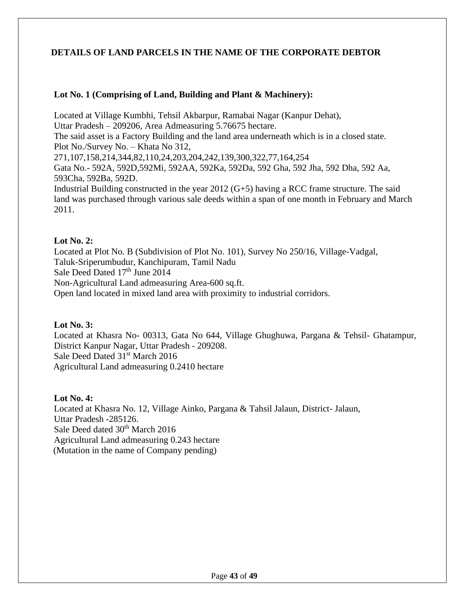## **DETAILS OF LAND PARCELS IN THE NAME OF THE CORPORATE DEBTOR**

## **Lot No. 1 (Comprising of Land, Building and Plant & Machinery):**

Located at Village Kumbhi, Tehsil Akbarpur, Ramabai Nagar (Kanpur Dehat), Uttar Pradesh – 209206, Area Admeasuring 5.76675 hectare. The said asset is a Factory Building and the land area underneath which is in a closed state. Plot No./Survey No. – Khata No 312, 271,107,158,214,344,82,110,24,203,204,242,139,300,322,77,164,254

Gata No.- 592A, 592D,592Mi, 592AA, 592Ka, 592Da, 592 Gha, 592 Jha, 592 Dha, 592 Aa, 593Cha, 592Ba, 592D.

Industrial Building constructed in the year  $2012$  (G+5) having a RCC frame structure. The said land was purchased through various sale deeds within a span of one month in February and March 2011.

#### **Lot No. 2:**

Located at Plot No. B (Subdivision of Plot No. 101), Survey No 250/16, Village-Vadgal, Taluk-Sriperumbudur, Kanchipuram, Tamil Nadu Sale Deed Dated 17th June 2014 Non-Agricultural Land admeasuring Area-600 sq.ft. Open land located in mixed land area with proximity to industrial corridors.

### **Lot No. 3:**

Located at Khasra No- 00313, Gata No 644, Village Ghughuwa, Pargana & Tehsil- Ghatampur, District Kanpur Nagar, Uttar Pradesh - 209208. Sale Deed Dated 31<sup>st</sup> March 2016 Agricultural Land admeasuring 0.2410 hectare

#### **Lot No. 4:**

Located at Khasra No. 12, Village Ainko, Pargana & Tahsil Jalaun, District- Jalaun, Uttar Pradesh -285126. Sale Deed dated 30<sup>th</sup> March 2016 Agricultural Land admeasuring 0.243 hectare (Mutation in the name of Company pending)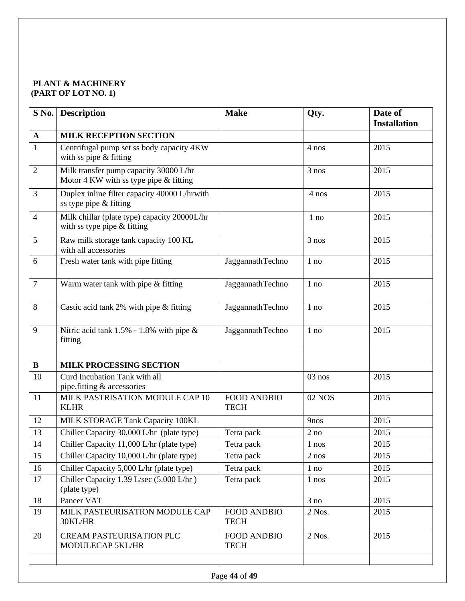#### **PLANT & MACHINERY (PART OF LOT NO. 1)**

|                | <b>S No.</b> Description                                                           | <b>Make</b>                       | Qty.     | Date of<br><b>Installation</b> |
|----------------|------------------------------------------------------------------------------------|-----------------------------------|----------|--------------------------------|
| $\mathbf{A}$   | <b>MILK RECEPTION SECTION</b>                                                      |                                   |          |                                |
| $\mathbf{1}$   | Centrifugal pump set ss body capacity 4KW<br>with ss pipe & fitting                |                                   | 4 nos    | 2015                           |
| $\overline{2}$ | Milk transfer pump capacity 30000 L/hr<br>Motor 4 KW with ss type pipe $&$ fitting |                                   | 3 nos    | 2015                           |
| 3              | Duplex inline filter capacity 40000 L/hrwith<br>ss type pipe & fitting             |                                   | 4 nos    | 2015                           |
| $\overline{4}$ | Milk chillar (plate type) capacity 20000L/hr<br>with ss type pipe $&$ fitting      |                                   | 1 no     | 2015                           |
| 5              | Raw milk storage tank capacity 100 KL<br>with all accessories                      |                                   | 3 nos    | 2015                           |
| 6              | Fresh water tank with pipe fitting                                                 | Jaggannath Techno                 | 1 no     | 2015                           |
| $\overline{7}$ | Warm water tank with pipe & fitting                                                | Jaggannath Techno                 | 1 no     | 2015                           |
| 8              | Castic acid tank 2% with pipe & fitting                                            | <b>JaggannathTechno</b>           | 1 no     | 2015                           |
| 9              | Nitric acid tank $1.5\%$ - 1.8% with pipe &<br>fitting                             | Jaggannath Techno                 | 1 no     | 2015                           |
| $\bf{B}$       | <b>MILK PROCESSING SECTION</b>                                                     |                                   |          |                                |
| 10             | Curd Incubation Tank with all                                                      |                                   | $03$ nos | 2015                           |
|                | pipe, fitting & accessories                                                        |                                   |          |                                |
| 11             | MILK PASTRISATION MODULE CAP 10<br><b>KLHR</b>                                     | <b>FOOD ANDBIO</b><br><b>TECH</b> | 02 NOS   | 2015                           |
| 12             | MILK STORAGE Tank Capacity 100KL                                                   |                                   | 9nos     | 2015                           |
| 13             | Chiller Capacity 30,000 L/hr (plate type)                                          | Tetra pack                        | 2 no     | 2015                           |
| 14             | Chiller Capacity 11,000 L/hr (plate type)                                          | Tetra pack                        | 1 nos    | 2015                           |
| 15             | Chiller Capacity 10,000 L/hr (plate type)                                          | Tetra pack                        | $2$ nos  | 2015                           |
| 16             | Chiller Capacity 5,000 L/hr (plate type)                                           | Tetra pack                        | 1 no     | 2015                           |
| 17             | Chiller Capacity 1.39 L/sec (5,000 L/hr)<br>(plate type)                           | Tetra pack                        | 1 nos    | 2015                           |
| 18             | Paneer VAT                                                                         |                                   | 3 no     | 2015                           |
| 19             | MILK PASTEURISATION MODULE CAP<br>30KL/HR                                          | FOOD ANDBIO<br><b>TECH</b>        | 2 Nos.   | 2015                           |
| 20             | CREAM PASTEURISATION PLC<br>MODULECAP 5KL/HR                                       | <b>FOOD ANDBIO</b><br><b>TECH</b> | 2 Nos.   | 2015                           |
|                |                                                                                    |                                   |          |                                |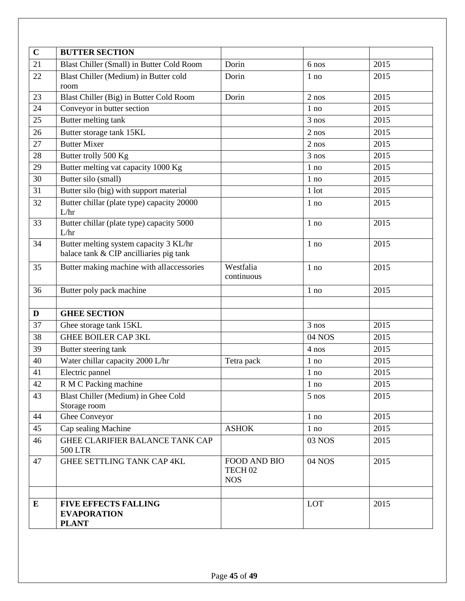| $\mathbf C$  | <b>BUTTER SECTION</b>                                                             |                                                         |         |      |
|--------------|-----------------------------------------------------------------------------------|---------------------------------------------------------|---------|------|
| 21           | Blast Chiller (Small) in Butter Cold Room                                         | Dorin                                                   | 6 nos   | 2015 |
| 22           | Blast Chiller (Medium) in Butter cold                                             | Dorin                                                   | 1 no    | 2015 |
|              | room                                                                              |                                                         |         |      |
| 23           | Blast Chiller (Big) in Butter Cold Room                                           | Dorin                                                   | $2$ nos | 2015 |
| 24           | Conveyor in butter section                                                        |                                                         | 1 no    | 2015 |
| 25           | Butter melting tank                                                               |                                                         | 3 nos   | 2015 |
| 26           | Butter storage tank 15KL                                                          |                                                         | $2$ nos | 2015 |
| 27           | <b>Butter Mixer</b>                                                               |                                                         | $2$ nos | 2015 |
| 28           | Butter trolly 500 Kg                                                              |                                                         | 3 nos   | 2015 |
| 29           | Butter melting vat capacity 1000 Kg                                               |                                                         | 1 no    | 2015 |
| 30           | Butter silo (small)                                                               |                                                         | 1 no    | 2015 |
| 31           | Butter silo (big) with support material                                           |                                                         | 1 lot   | 2015 |
| 32           | Butter chillar (plate type) capacity 20000<br>L/hr                                |                                                         | 1 no    | 2015 |
| 33           | Butter chillar (plate type) capacity 5000<br>L/hr                                 |                                                         | 1 no    | 2015 |
| 34           | Butter melting system capacity 3 KL/hr<br>balace tank & CIP ancilliaries pig tank |                                                         | 1 no    | 2015 |
| 35           | Butter making machine with allaccessories                                         | Westfalia<br>continuous                                 | 1 no    | 2015 |
| 36           | Butter poly pack machine                                                          |                                                         | 1 no    | 2015 |
| $\mathbf{D}$ | <b>GHEE SECTION</b>                                                               |                                                         |         |      |
| 37           | Ghee storage tank 15KL                                                            |                                                         | 3 nos   | 2015 |
| 38           | <b>GHEE BOILER CAP 3KL</b>                                                        |                                                         | 04 NOS  | 2015 |
| 39           | Butter steering tank                                                              |                                                         | 4 nos   | 2015 |
| 40           | Water chillar capacity 2000 L/hr                                                  | Tetra pack                                              | 1 no    | 2015 |
| 41           | Electric pannel                                                                   |                                                         | 1 no    | 2015 |
| 42           | R M C Packing machine                                                             |                                                         | 1 no    | 2015 |
| 43           | Blast Chiller (Medium) in Ghee Cold<br>Storage room                               |                                                         | $5$ nos | 2015 |
| 44           | Ghee Conveyor                                                                     |                                                         | 1 no    | 2015 |
| 45           | Cap sealing Machine                                                               | <b>ASHOK</b>                                            | 1 no    | 2015 |
| 46           | <b>GHEE CLARIFIER BALANCE TANK CAP</b><br><b>500 LTR</b>                          |                                                         | 03 NOS  | 2015 |
| 47           | GHEE SETTLING TANK CAP 4KL                                                        | <b>FOOD AND BIO</b><br>TECH <sub>02</sub><br><b>NOS</b> | 04 NOS  | 2015 |
| E            | <b>FIVE EFFECTS FALLING</b><br><b>EVAPORATION</b><br><b>PLANT</b>                 |                                                         | LOT     | 2015 |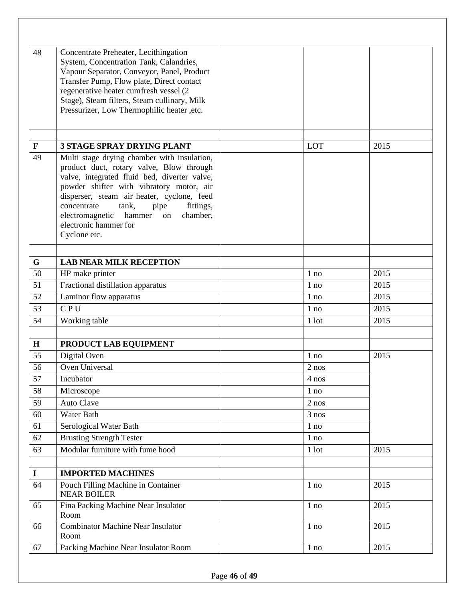| 48           | Concentrate Preheater, Lecithingation<br>System, Concentration Tank, Calandries,<br>Vapour Separator, Conveyor, Panel, Product<br>Transfer Pump, Flow plate, Direct contact<br>regenerative heater cumfresh vessel (2<br>Stage), Steam filters, Steam cullinary, Milk<br>Pressurizer, Low Thermophilic heater ,etc.                                                    |         |      |
|--------------|------------------------------------------------------------------------------------------------------------------------------------------------------------------------------------------------------------------------------------------------------------------------------------------------------------------------------------------------------------------------|---------|------|
| $\mathbf{F}$ | <b>3 STAGE SPRAY DRYING PLANT</b>                                                                                                                                                                                                                                                                                                                                      | LOT     | 2015 |
| 49           | Multi stage drying chamber with insulation,<br>product duct, rotary valve, Blow through<br>valve, integrated fluid bed, diverter valve,<br>powder shifter with vibratory motor, air<br>disperser, steam air heater, cyclone, feed<br>concentrate<br>tank,<br>pipe<br>fittings,<br>electromagnetic<br>hammer<br>chamber,<br>on<br>electronic hammer for<br>Cyclone etc. |         |      |
| G            | <b>LAB NEAR MILK RECEPTION</b>                                                                                                                                                                                                                                                                                                                                         |         |      |
| 50           | HP make printer                                                                                                                                                                                                                                                                                                                                                        | 1 no    | 2015 |
| 51           | Fractional distillation apparatus                                                                                                                                                                                                                                                                                                                                      | 1 no    | 2015 |
| 52           | Laminor flow apparatus                                                                                                                                                                                                                                                                                                                                                 | 1 no    | 2015 |
| 53           | CPU                                                                                                                                                                                                                                                                                                                                                                    | 1 no    | 2015 |
| 54           | Working table                                                                                                                                                                                                                                                                                                                                                          | 1 lot   | 2015 |
|              |                                                                                                                                                                                                                                                                                                                                                                        |         |      |
| H            | PRODUCT LAB EQUIPMENT                                                                                                                                                                                                                                                                                                                                                  |         |      |
| 55           | Digital Oven                                                                                                                                                                                                                                                                                                                                                           | 1 no    | 2015 |
| 56           | Oven Universal                                                                                                                                                                                                                                                                                                                                                         | 2 nos   |      |
| 57           | Incubator                                                                                                                                                                                                                                                                                                                                                              | 4 nos   |      |
| 58           | Microscope                                                                                                                                                                                                                                                                                                                                                             | 1 no    |      |
| 59           | Auto Clave                                                                                                                                                                                                                                                                                                                                                             | 2 nos   |      |
| 60           | Water Bath                                                                                                                                                                                                                                                                                                                                                             | 3 nos   |      |
| 61           | Serological Water Bath                                                                                                                                                                                                                                                                                                                                                 | 1 no    |      |
| 62           | <b>Brusting Strength Tester</b>                                                                                                                                                                                                                                                                                                                                        | 1 no    |      |
| 63           | Modular furniture with fume hood                                                                                                                                                                                                                                                                                                                                       | $1$ lot | 2015 |
| $\mathbf I$  | <b>IMPORTED MACHINES</b>                                                                                                                                                                                                                                                                                                                                               |         |      |
| 64           | Pouch Filling Machine in Container<br><b>NEAR BOILER</b>                                                                                                                                                                                                                                                                                                               | 1 no    | 2015 |
| 65           | Fina Packing Machine Near Insulator<br>Room                                                                                                                                                                                                                                                                                                                            | 1 no    | 2015 |
| 66           | <b>Combinator Machine Near Insulator</b><br>Room                                                                                                                                                                                                                                                                                                                       | 1 no    | 2015 |
| 67           | Packing Machine Near Insulator Room                                                                                                                                                                                                                                                                                                                                    | 1 no    | 2015 |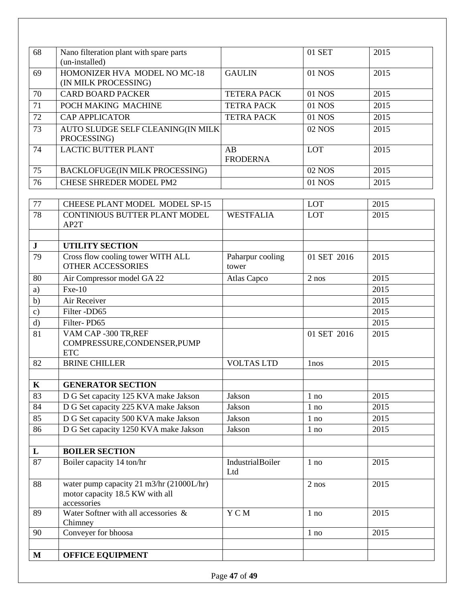| 68            | Nano filteration plant with spare parts<br>(un-installed)                                  |                                | 01 SET           | 2015 |
|---------------|--------------------------------------------------------------------------------------------|--------------------------------|------------------|------|
| 69            | HOMONIZER HVA MODEL NO MC-18<br>(IN MILK PROCESSING)                                       | <b>GAULIN</b>                  | 01 NOS           | 2015 |
| 70            | <b>CARD BOARD PACKER</b>                                                                   | <b>TETERA PACK</b>             | 01 NOS           | 2015 |
| 71            | POCH MAKING MACHINE                                                                        | <b>TETRA PACK</b>              | 01 NOS           | 2015 |
| 72            | <b>CAP APPLICATOR</b>                                                                      | <b>TETRA PACK</b>              | 01 NOS           | 2015 |
| 73            | AUTO SLUDGE SELF CLEANING(IN MILK<br>PROCESSING)                                           |                                | 02 NOS           | 2015 |
| 74            | <b>LACTIC BUTTER PLANT</b>                                                                 | AB<br><b>FRODERNA</b>          | <b>LOT</b>       | 2015 |
| 75            | BACKLOFUGE(IN MILK PROCESSING)                                                             |                                | 02 NOS           | 2015 |
| 76            | <b>CHESE SHREDER MODEL PM2</b>                                                             |                                | 01 NOS           | 2015 |
|               |                                                                                            |                                |                  |      |
| 77            | <b>CHEESE PLANT MODEL MODEL SP-15</b>                                                      |                                | <b>LOT</b>       | 2015 |
| 78            | <b>CONTINIOUS BUTTER PLANT MODEL</b><br>AP2T                                               | <b>WESTFALIA</b>               | LOT              | 2015 |
| ${\bf J}$     | <b>UTILITY SECTION</b>                                                                     |                                |                  |      |
| 79            | Cross flow cooling tower WITH ALL<br><b>OTHER ACCESSORIES</b>                              | Paharpur cooling<br>tower      | 01 SET 2016      | 2015 |
| 80            | Air Compressor model GA 22                                                                 | Atlas Capco                    | 2 nos            | 2015 |
| a)            | $Fx-10$                                                                                    |                                |                  | 2015 |
| b)            | Air Receiver                                                                               |                                |                  | 2015 |
| $\mathbf{c})$ | Filter-DD65                                                                                |                                |                  | 2015 |
| $\mathbf{d}$  | Filter-PD65                                                                                |                                |                  | 2015 |
| 81            | VAM CAP -300 TR, REF<br>COMPRESSURE, CONDENSER, PUMP<br><b>ETC</b>                         |                                | 01 SET 2016      | 2015 |
| 82            | <b>BRINE CHILLER</b>                                                                       | <b>VOLTAS LTD</b>              | 1 <sub>nos</sub> | 2015 |
| $\mathbf K$   | <b>GENERATOR SECTION</b>                                                                   |                                |                  |      |
| 83            | D G Set capacity 125 KVA make Jakson                                                       | Jakson                         | 1 no             | 2015 |
| 84            | D G Set capacity 225 KVA make Jakson                                                       | Jakson                         | 1 no             | 2015 |
| 85            | D G Set capacity 500 KVA make Jakson                                                       | Jakson                         | 1 no             | 2015 |
| 86            | D G Set capacity 1250 KVA make Jakson                                                      | Jakson                         | $1$ no           | 2015 |
|               |                                                                                            |                                |                  |      |
| $\mathbf{L}$  | <b>BOILER SECTION</b>                                                                      |                                |                  |      |
| 87            | Boiler capacity 14 ton/hr                                                                  | <b>IndustrialBoiler</b><br>Ltd | 1 no             | 2015 |
| 88            | water pump capacity 21 m3/hr (21000L/hr)<br>motor capacity 18.5 KW with all<br>accessories |                                | 2 nos            | 2015 |
| 89            | Water Softner with all accessories &<br>Chimney                                            | Y C M                          | 1 no             | 2015 |
| 90            | Conveyer for bhoosa                                                                        |                                | 1 no             | 2015 |
|               |                                                                                            |                                |                  |      |
| $\mathbf{M}$  | <b>OFFICE EQUIPMENT</b>                                                                    |                                |                  |      |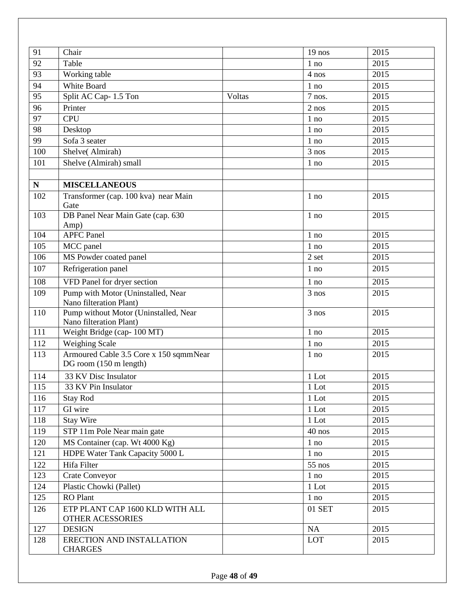| 91          | Chair                                                            |        | $19$ nos        | 2015 |
|-------------|------------------------------------------------------------------|--------|-----------------|------|
| 92          | Table                                                            |        | 1 <sub>no</sub> | 2015 |
| 93          | Working table                                                    |        | 4 nos           | 2015 |
| 94          | <b>White Board</b>                                               |        | 1 no            | 2015 |
| 95          | Split AC Cap-1.5 Ton                                             | Voltas | 7 nos.          | 2015 |
| 96          | Printer                                                          |        | 2 nos           | 2015 |
| 97          | <b>CPU</b>                                                       |        | 1 no            | 2015 |
| 98          | Desktop                                                          |        | 1 no            | 2015 |
| 99          | Sofa 3 seater                                                    |        | 1 no            | 2015 |
| 100         | Shelve(Almirah)                                                  |        | 3 nos           | 2015 |
| 101         | Shelve (Almirah) small                                           |        | 1 no            | 2015 |
|             |                                                                  |        |                 |      |
| $\mathbf N$ | <b>MISCELLANEOUS</b>                                             |        |                 |      |
| 102         | Transformer (cap. 100 kva) near Main<br>Gate                     |        | 1 no            | 2015 |
| 103         | DB Panel Near Main Gate (cap. 630<br>Amp)                        |        | 1 <sub>no</sub> | 2015 |
| 104         | <b>APFC Panel</b>                                                |        | 1 no            | 2015 |
| 105         | MCC panel                                                        |        | 1 no            | 2015 |
| 106         | MS Powder coated panel                                           |        | 2 set           | 2015 |
| 107         | Refrigeration panel                                              |        | 1 no            | 2015 |
| 108         | VFD Panel for dryer section                                      |        | 1 no            | 2015 |
| 109         | Pump with Motor (Uninstalled, Near<br>Nano filteration Plant)    |        | $3$ nos         | 2015 |
| 110         | Pump without Motor (Uninstalled, Near<br>Nano filteration Plant) |        | 3 nos           | 2015 |
| 111         | Weight Bridge (cap-100 MT)                                       |        | 1 no            | 2015 |
| 112         | Weighing Scale                                                   |        | 1 no            | 2015 |
| 113         | Armoured Cable 3.5 Core x 150 sqmmNear<br>DG room (150 m length) |        | 1 no            | 2015 |
| 114         | 33 KV Disc Insulator                                             |        | 1 Lot           | 2015 |
| 115         | 33 KV Pin Insulator                                              |        | 1 Lot           | 2015 |
| 116         | <b>Stay Rod</b>                                                  |        | 1 Lot           | 2015 |
| 117         | GI wire                                                          |        | 1 Lot           | 2015 |
| 118         | <b>Stay Wire</b>                                                 |        | 1 Lot           | 2015 |
| 119         | STP 11m Pole Near main gate                                      |        | 40 nos          | 2015 |
| 120         | MS Container (cap. Wt 4000 Kg)                                   |        | 1 no            | 2015 |
| 121         | HDPE Water Tank Capacity 5000 L                                  |        | 1 no            | 2015 |
| 122         | Hifa Filter                                                      |        | $55$ nos        | 2015 |
| 123         | <b>Crate Conveyor</b>                                            |        | 1 no            | 2015 |
| 124         | Plastic Chowki (Pallet)                                          |        | 1 Lot           | 2015 |
| 125         | <b>RO</b> Plant                                                  |        | 1 no            | 2015 |
| 126         | ETP PLANT CAP 1600 KLD WITH ALL<br>OTHER ACESSORIES              |        | 01 SET          | 2015 |
| 127         | <b>DESIGN</b>                                                    |        | NA              | 2015 |
| 128         | ERECTION AND INSTALLATION<br><b>CHARGES</b>                      |        | LOT             | 2015 |